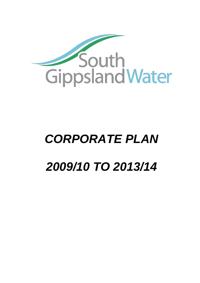

# *CORPORATE PLAN 2009/10 TO 2013/14*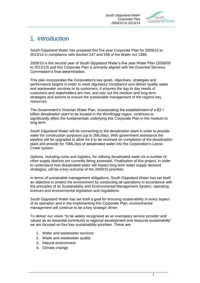

# 1. Introduction

South Gippsland Water has prepared this five year Corporate Plan for 2009/10 to 2013/14 in compliance with Section 247 and 248 of the Water Act 1989.

2009/10 is the second year of South Gippsland Water"s five year Water Plan (2008/09 to 2012/13) and this Corporate Plan is primarily aligned with the Essential Services Commission"s final determination.

This plan incorporates the Corporation"s key goals, objectives, strategies and performance targets in order to meet regulatory compliance and deliver quality water and wastewater services to its customers. It ensures the day to day needs of customers and stakeholders are met, and sets out the medium and long term strategies and actions to ensure the sustainable management of the regions key resources.

The Government"s Victorian Water Plan, incorporating the establishment of a \$3.1 billion desalination plant to be located in the Wonthaggi region, continues to significantly affect the fundamentals underlying this Corporate Plan in the medium to long term.

South Gippsland Water will be connecting to the desalination plant in order to provide water for construction purposes (up to 2ML/day). With government assistance the pipeline will be upgraded to allow for it to be reversed on completion of the desalination plant and provide for 10ML/day of desalinated water into the Corporation"s Lance Creek system.

Options, including costs and logistics, for utilising desalinated water for a number of other supply districts are currently being assessed. Finalisation of this project, in order to understand how desalinated water will impact long term water supply demand strategies, will be a key outcome of the 2009/10 priorities.

In terms of sustainable management obligations, South Gippsland Water has set itself an objective to protect the environment by conducting all operations in accordance with the principles of its Sustainability and Environmental Management System, operating licences and environmental legislation and regulations.

South Gippsland Water has set itself a goal for ensuring sustainability in every aspect of its operation and in the implementing this Corporate Plan, environmental management will continue to be a key strategic driver.

To deliver our vision "to be widely recognised as an exemplary service provider and valued as an essential contributor to regional development and resource sustainability" we are focused on four key sustainability priorities. These are:

- 1. Water and wastewater services
- 2. Water and wastewater quality
- 3. Natural environment
- 4. Climate change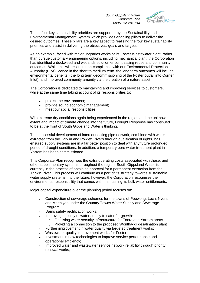

These four key sustainability priorities are supported by the Sustainability and Environmental Management System which provides enabling pillars to deliver the desired outcomes. These pillars are a key aspect to realising the four key sustainability priorities and assist in delivering the objectives, goals and targets.

As an example, faced with major upgrades works at its Foster Wastewater plant, rather than pursue customary engineering options, including mechanical plant, the Corporation has identified a duckweed and wetlands solution encompassing reuse and community outcomes. While this will result in non-compliance with our Environmental Protection Authority (EPA) licence in the short to medium term, the long term outcomes will include environmental benefits, (the long term decommissioning of the Foster outfall into Corner Inlet), and improved community amenity via the creation of a nature asset.

The Corporation is dedicated to maintaining and improving services to customers, while at the same time taking account of its responsibilities to:

- protect the environment;  $\bullet$
- provide sound economic management;
- meet our social responsibilities

With extreme dry conditions again being experienced in the region and the unknown extent and impact of climate change into the future, Drought Response has continued to be at the front of South Gippsland Water"s thinking.

The successful development of interconnecting pipe network, combined with water extracted from the Tarwin and Powlett Rivers through qualification of rights, has ensured supply systems are in a far better position to deal with any future prolonged period of drought conditions. In addition, a temporary bore water treatment plant in Yarram has been commissioned.

This Corporate Plan recognises the extra operating costs associated with these, and other supplementary systems throughout the region. South Gippsland Water is currently in the process of obtaining approval for a permanent extraction from the Tarwin River. This process will continue as a part of its strategy towards sustainable water supply systems into the future, however, the Corporation recognises the environmental responsibility that comes with maintaining its bulk water entitlements.

Major capital expenditure over the planning period focuses on:

- Construction of sewerage schemes for the towns of Poowong, Loch, Nyora  $\bullet$ and Meeniyan under the Country Towns Water Supply and Sewerage Program;
- Dams safety rectification works;
	- Improving security of water supply to cater for growth:
		- o Finalising water security infrastructure for Toora and Yarram areas
		- o Providing a connection to the proposed Wonthaggi desalination plant
- Further improvement in water quality via targeted treatment works;
- Wastewater quality improvement works for Foster;
- Investment in new technologies to improve service performance and operational efficiency;
- Improved water and wastewater service network reliability through priority renewal works;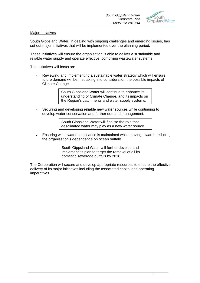

#### Major Initiatives

South Gippsland Water, in dealing with ongoing challenges and emerging issues, has set out major initiatives that will be implemented over the planning period.

These initiatives will ensure the organisation is able to deliver a sustainable and reliable water supply and operate effective, complying wastewater systems.

The initiatives will focus on:

Reviewing and implementing a sustainable water strategy which will ensure future demand will be met taking into consideration the possible impacts of Climate Change.

> South Gippsland Water will continue to enhance its understanding of Climate Change, and its impacts on the Region"s catchments and water supply systems.

Securing and developing reliable new water sources while continuing to develop water conservation and further demand management.

> South Gippsland Water will finalise the role that desalinated water may play as a new water source.

Ensuring wastewater compliance is maintained while moving towards reducing  $\bullet$ the organisation"s dependence on ocean outfalls.

> South Gippsland Water will further develop and implement its plan to target the removal of all its domestic sewerage outfalls by 2018.

The Corporation will secure and develop appropriate resources to ensure the effective delivery of its major initiatives including the associated capital and operating imperatives.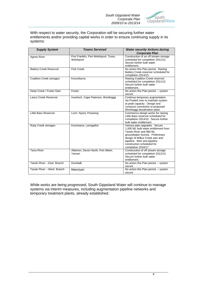

With respect to water security, the Corporation will be securing further water entitlements and/or providing capital works in order to ensure continuing supply in its systems:

| <b>Supply System</b>            | <b>Towns Serviced</b>                 | <b>Water security Actions during</b>                                |
|---------------------------------|---------------------------------------|---------------------------------------------------------------------|
|                                 |                                       | <b>Corporate Plan</b>                                               |
| <b>Agnes River</b>              | Port Franklin, Port Welshpool, Toora, | Construction of an off stream storage                               |
|                                 | Welshpool                             | scheduled for completion 2011/12.                                   |
|                                 |                                       | Secure further bulk water                                           |
|                                 |                                       | entitlement.                                                        |
| <b>Battery Creek Reservoir</b>  | <b>Fish Creek</b>                     | No action this Plan period. Raising                                 |
|                                 |                                       | Battery Creek reservoir scheduled for                               |
|                                 |                                       | completion 2014/15.                                                 |
| <b>Coalition Creek storages</b> | Korumburra                            | Raising Coalition Creek reservoir                                   |
|                                 |                                       | scheduled for completion 2011/12.                                   |
|                                 |                                       | Secure further bulk water                                           |
|                                 |                                       | entitlement.                                                        |
| Deep Creek / Foster Dam         | Foster                                | No action this Plan period. - system                                |
|                                 |                                       | secure                                                              |
| Lance Creek Reservoir           | Inverloch, Cape Paterson, Wonthaggi   | Continue temporary augmentation                                     |
|                                 |                                       | via Powlett river to maintain system                                |
|                                 |                                       | at peak capacity. Design and                                        |
|                                 |                                       | construct connection to proposed                                    |
|                                 |                                       | Wonthaggi desalination plant.                                       |
| Little Bass Reservoir           | Loch, Nyora, Poowong                  | Commence design works for raising                                   |
|                                 |                                       | Little Bass reservoir scheduled for                                 |
|                                 |                                       | completion 2014/15. Secure further                                  |
|                                 |                                       | bulk water entitlement.                                             |
| Ruby Creek storages             | Koonwarra, Leongatha                  | Various pipe upgrades. Secure                                       |
|                                 |                                       | 1,000 ML bulk water entitlement from<br>Tarwin River and 980 ML     |
|                                 |                                       |                                                                     |
|                                 |                                       | groundwater license. Preliminary<br>design of Wilkur Creek weir and |
|                                 |                                       | pipeline. Weir and pipeline                                         |
|                                 |                                       | construction scheduled for                                          |
|                                 |                                       | completion 2016/17.                                                 |
| <b>Tarra River</b>              | Alberton, Devon North, Port Albert,   | Construction of off stream storage                                  |
|                                 | Yarram                                | scheduled for completion 2012/13.                                   |
|                                 |                                       | Secure further bulk water                                           |
|                                 |                                       | entitlement.                                                        |
| Tarwin River - East Branch      | <b>Dumbalk</b>                        | No action this Plan period. - system                                |
|                                 |                                       | secure                                                              |
| Tarwin River - West Branch      | Meeniyan                              | No action this Plan period. - system                                |
|                                 |                                       | secure                                                              |

While works are being progressed, South Gippsland Water will continue to manage systems via interim measures, including augmentation pipeline networks and temporary treatment plants, already established.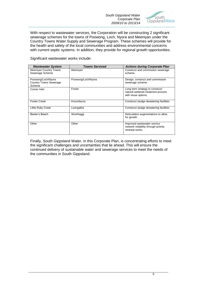

With respect to wastewater services, the Corporation will be constructing 2 significant sewerage schemes for the towns of Poowong, Loch, Nyora and Meeniyan under the Country Towns Water Supply and Sewerage Program. These schemes will provide for the health and safety of the local communities and address environmental concerns with current septic systems. In addition, they provide for regional growth opportunities.

Significant wastewater works include:

| <b>Wastewater System</b>                                      | <b>Towns Serviced</b> | <b>Actions during Corporate Plan</b>                                                         |
|---------------------------------------------------------------|-----------------------|----------------------------------------------------------------------------------------------|
| <b>Meeniyan Country Towns</b><br>Sewerage Scheme              | Meeniyan              | Construct and commission sewerage<br>scheme.                                                 |
| Poowong/Loch/Nyora<br><b>Country Towns Sewerage</b><br>Scheme | Poowong/Loch/Nyora    | Design, construct and commission<br>sewerage scheme.                                         |
| Corner Inlet                                                  | Foster                | Long term strategy to construct<br>natural wetlands treatment process<br>with reuse options. |
| <b>Foster Creek</b>                                           | Korumburra            | Construct sludge dewatering facilities                                                       |
| Little Ruby Creek                                             | Leongatha             | Construct sludge dewatering facilities                                                       |
| Baxter's Beach                                                | Wonthaggi             | Reticulation augmentations to allow<br>for growth.                                           |
| Other                                                         | Other                 | Improved wastewater service<br>network reliability through priority<br>renewal works.        |

Finally, South Gippsland Water, in this Corporate Plan, is concentrating efforts to meet the significant challenges and uncertainties that lie ahead. This will ensure the continued delivery of sustainable water and sewerage services to meet the needs of the communities in South Gippsland.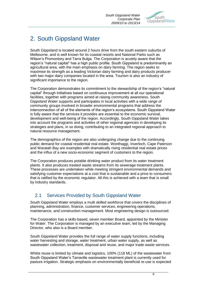

# 2. South Gippsland Water

South Gippsland is located around 2 hours drive from the south eastern suburbs of Melbourne, and is well known for its coastal resorts and National Parks such as Wilson"s Promontory and Tarra Bulga. The Corporation is acutely aware that the region"s "natural capital" has a high public profile. South Gippsland is predominantly an agricultural area, with the main emphasis on dairy farming. The region seeks to maximise its strength as a leading Victorian dairy farming and dairy products producer with two major dairy companies located in the area. Tourism is also an industry of significant importance to the region.

The Corporation demonstrates its commitment to the stewardship of the region"s "natural capital" through initiatives based on continuous improvement at all our operational facilities, together with programs aimed at raising community awareness. South Gippsland Water supports and participates in local activities with a wide range of community groups involved in broader environmental programs that address the interconnection of all of the elements of the region's ecosystems. South Gippsland Water is fully aware that the services it provides are essential to the economic survival, development and well-being of the region. Accordingly, South Gippsland Water takes into account the programs and activities of other regional agencies in developing its strategies and plans, in so doing, contributing to an integrated regional approach to natural resource management.

The demographics of the region are also undergoing change due to the continuing public demand for coastal residential real estate. Wonthaggi, Inverloch, Cape Paterson and Waratah Bay are examples with dramatically rising residential real estate prices and the influx of a new socio-economic segment of customers to the region.

The Corporation produces potable drinking water product from its water treatment plants. It also produces treated waste streams from its sewerage treatment plants. These processes are undertaken while meeting stringent environmental demands and satisfying customer expectations at a cost that is sustainable and a price to consumers that is ratified by the economic regulator. All this is achieved with a team that is small by industry standards.

# 2.1 Services Provided by South Gippsland Water

South Gippsland Water employs a multi skilled workforce that covers the disciplines of planning, administration, finance, customer services, engineering operations, maintenance, and construction management. Most engineering design is outsourced.

The Corporation has a skills-based, seven member Board, appointed by the Minister for Water. The Corporation is managed by an executive team, led by the Managing Director, who also is a Board member.

South Gippsland Water provides the full range of water supply functions, including water harvesting and storage, water treatment, urban water supply, as well as wastewater collection, treatment, disposal and reuse, and major trade waste services.

Whilst reuse is limited by climate and logistics, 100% (118 ML) of the wastewater from South Gippsland Water"s Tarraville wastewater treatment plant is currently used for pasture irrigation. Strategic emphasis on environmentally beneficial re-use is expected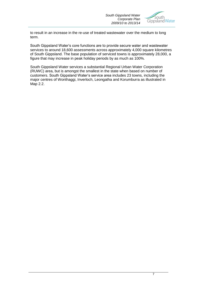

to result in an increase in the re-use of treated wastewater over the medium to long term.

South Gippsland Water"s core functions are to provide secure water and wastewater services to around 18,600 assessments across approximately 4,000 square kilometres of South Gippsland. The base population of serviced towns is approximately 28,000, a figure that may increase in peak holiday periods by as much as 100%.

South Gippsland Water services a substantial Regional Urban Water Corporation (RUWC) area, but is amongst the smallest in the state when based on number of customers. South Gippsland Water"s service area includes 23 towns, including the major centres of Wonthaggi, Inverloch, Leongatha and Korumburra as illustrated in Map 2.2.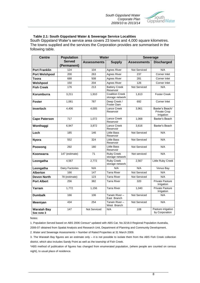

#### **Table 2.1: South Gippsland Water & Sewerage Service Localities**

South Gippsland Water"s service area covers 23 towns and 4,000 square kilometres. The towns supplied and the services the Corporation provides are summarised in the following table.

| <b>Centre</b>                    | <b>Population</b>            | <b>Water</b>                        |                                           | <b>Sewerage</b>     |                                               |
|----------------------------------|------------------------------|-------------------------------------|-------------------------------------------|---------------------|-----------------------------------------------|
|                                  | <b>Served</b><br>(Permanent) | <b>Assessments</b><br><b>Supply</b> |                                           | <b>Assessments</b>  | <b>Discharged</b>                             |
| <b>Port Franklin</b>             | 124                          | 104                                 | Agnes River                               | Not Serviced        | N/A                                           |
| <b>Port Welshpool</b>            | 200                          | 263                                 | 237<br>Agnes River                        |                     | Corner Inlet                                  |
| <b>Toora</b>                     | 688                          | 508                                 | <b>Agnes River</b>                        | 281                 | Corner Inlet                                  |
| Welshpool                        | 150                          | 204                                 | <b>Agnes River</b>                        | 126                 | Corner Inlet                                  |
| <b>Fish Creek</b>                | 176                          | 213                                 | <b>Battery Creek</b><br>Reservoir         | Not Serviced        | N/A                                           |
| Korumburra                       | 3,211                        | 1,910                               | <b>Coalition Creek</b><br>storage network | 1,613               | <b>Foster Creek</b>                           |
| <b>Foster</b>                    | 1,061                        | 787                                 | Deep Creek /<br>Foster Dam                | 692                 | Corner Inlet                                  |
| Inverloch                        | 4.406                        | 4,005                               | Lance Creek<br>Reservoir                  | 3.961               | Baxter's Beach/<br>Private Crop<br>Irrigation |
| <b>Cape Paterson</b>             | 717                          | 1,072                               | Lance Creek<br>Reservoir                  | 1,068               | Baxter's Beach                                |
| Wonthaggi                        | 6,947                        | 3,872                               | Lance Creek<br>Reservoir                  | 3,616               | Baxter's Beach                                |
| Loch                             | 185                          | 146                                 | <b>Little Bass</b><br>Reservoir           | Not Serviced        | N/A                                           |
| <b>Nyora</b>                     | 552                          | 324                                 | <b>Little Bass</b><br>Reservoir           | Not Serviced        | N/A                                           |
| Poowong                          | 292                          | 180                                 | Little Bass<br>Reservoir                  | Not Serviced        | N/A                                           |
| Koonwarra                        | 147 (estimate)               | 71                                  | <b>Ruby Creek</b><br>storage network      | Not serviced        | N/A                                           |
| Leongatha                        | 4,567                        | 2,772                               | <b>Ruby Creek</b><br>storage network      | 2,567               | Little Ruby Creek                             |
| Leongatha                        | Dairy Factories              | N/A                                 | N/A                                       | N/A                 | Venus Bay                                     |
| <b>Alberton</b>                  | 166                          | 147                                 | <b>Tarra River</b>                        | Not Serviced        | N/A                                           |
| <b>Devon North</b>               | 78 (estimate)                | 123                                 | <b>Tarra River</b>                        | Not Serviced        | N/A                                           |
| <b>Port Albert</b>               | 256                          | 382                                 | <b>Tarra River</b>                        | 320                 | <b>Private Pasture</b><br>Irrigation          |
| Yarram                           | 1,772                        | 1,156                               | <b>Tarra River</b>                        | 1,040               | Private Pasture<br>Irrigation                 |
| <b>Dumbalk</b>                   | 166                          | 106                                 | Tarwin River-<br>East Branch              | <b>Not Serviced</b> | N/A                                           |
| Meeniyan                         | 434                          | 254                                 | Tarwin River-<br>West Branch              | Not Serviced        | N/A                                           |
| <b>Waratah Bay</b><br>See note 3 | 147                          | Not Serviced                        | N/A                                       | 108                 | Pasture irrigation<br>by Corporation          |

Notes:

1. Population Served based on ABS 2006 Census\* updated with ABS Cat. No.3218.0 Regional Population Australia,

2006-07 obtained from Spatial Analysis and Research Unit, Department of Planning and Community Development.

2. Water and Sewerage Assessments = Number of Rated Properties at 31 March 2009.

3. The Waratah Bay figures are an estimate only – it is not possible to isolate them from the ABS Fish Creek collection district, which also includes Sandy Point as well as the township of Fish Creek.

\*ABS method of publication of figures has changed from enumerated population, (where people are counted on census night), to usual place of residence.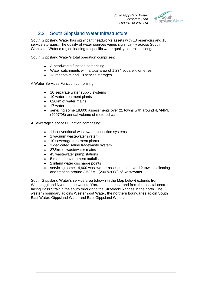

# 2.2 South Gippsland Water Infrastructure

South Gippsland Water has significant headworks assets with 13 reservoirs and 18 service storages. The quality of water sources varies significantly across South Gippsland Water"s region leading to specific water quality control challenges.

South Gippsland Water"s total operation comprises:

- A headworks function comprising:
- Water catchments with a total area of 1,234 square kilometres
- 13 reservoirs and 18 service storages

A Water Services Function comprising:

- 10 separate water supply systems
- 10 water treatment plants
- 626km of water mains
- 17 water pump stations
- servicing some 18,600 assessments over 21 towns with around 4,744ML (2007/08) annual volume of metered water

A Sewerage Services Function comprising:

- 11 conventional wastewater collection systems
- 1 vacuum wastewater system
- 10 sewerage treatment plants
- 1 dedicated saline tradewaste system
- 373km of wastewater mains
- 45 wastewater pump stations
- 5 marine environment outfalls
- 2 inland water discharge points
- servicing some 14,900 wastewater assessments over 12 towns collecting and treating around 3,685ML (2007/2008) of wastewater.

South Gippsland Water"s service area (shown in the Map below) extends from Wonthaggi and Nyora in the west to Yarram in the east, and from the coastal centres facing Bass Strait in the south through to the Strzelecki Ranges in the north. The western boundary adjoins Westernport Water, the northern boundaries adjoin South East Water, Gippsland Water and East Gippsland Water.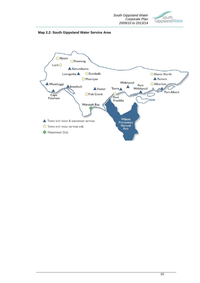



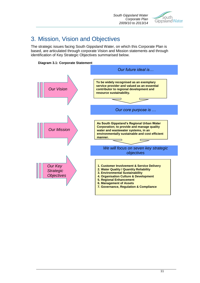

# 3. Mission, Vision and Objectives

The strategic issues facing South Gippsland Water, on which this Corporate Plan is based, are articulated through corporate Vision and Mission statements and through identification of Key Strategic Objectives summarised below.



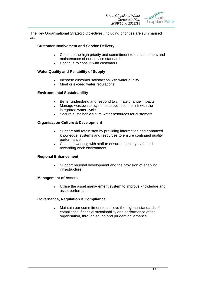

The Key Organisational Strategic Objectives, including priorities are summarised as:

#### **Customer Involvement and Service Delivery**

- Continue the high priority and commitment to our customers and  $\bullet$ maintenance of our service standards.
- Continue to consult with customers.

#### **Water Quality and Reliability of Supply**

- Increase customer satisfaction with water quality.
- Meet or exceed water regulations.

#### **Environmental Sustainability**

- Better understand and respond to climate change impacts.
- Manage wastewater systems to optimise the link with the integrated water cycle.
- Secure sustainable future water resources for customers.

#### **Organisation Culture & Development**

- Support and retain staff by providing information and enhanced knowledge, systems and resources to ensure continued quality performance.
- Continue working with staff to ensure a healthy, safe and rewarding work environment.

#### **Regional Enhancement**

Support regional development and the provision of enabling infrastructure.

#### **Management of Assets**

Utilise the asset management system to improve knowledge and asset performance.

#### **Governance, Regulation & Compliance**

Maintain our commitment to achieve the highest standards of compliance, financial sustainability and performance of the organisation, through sound and prudent governance.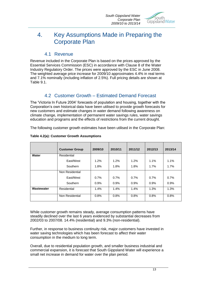

# 4. Key Assumptions Made in Preparing the Corporate Plan

#### 4.1 Revenue

Revenue included in the Corporate Plan is based on the prices approved by the Essential Services Commission (ESC) in accordance with Clause 8 of the Water Industry Regulatory Order. The prices were approved by the ESC in June 2008. The weighted average price increase for 2009/10 approximates 4.4% in real terms and 7.1% nominally (including inflation of 2.5%). Full pricing details are shown at Table 9.1.

# 4.2 Customer Growth – Estimated Demand Forecast

The "Victoria In Future 2004" forecasts of population and housing, together with the Corporation"s own historical data have been utilised to provide growth forecasts for new customers and estimate changes in water demand following awareness on climate change, implementation of permanent water savings rules, water savings education and programs and the effects of restrictions from the current drought.

The following customer growth estimates have been utilised in the Corporate Plan:

|            | <b>Customer Group</b> | 2009/10 | 2010/11 | 2011/12 | 2012/13 | 2013/14 |
|------------|-----------------------|---------|---------|---------|---------|---------|
| Water      | Residential           |         |         |         |         |         |
|            | East/West             | $1.2\%$ | 1.2%    | 1.2%    | $1.1\%$ | 1.1%    |
|            | Southern              | 1.8%    | 1.8%    | 1.8%    | 1.7%    | 1.7%    |
|            | Non Residential       |         |         |         |         |         |
|            | East/West             | 0.7%    | 0.7%    | 0.7%    | 0.7%    | 0.7%    |
|            | Southern              | 0.9%    | 0.9%    | 0.9%    | 0.9%    | 0.9%    |
| Wastewater | Residential           | 1.4%    | 1.4%    | 1.4%    | 1.3%    | 1.3%    |
|            | Non Residential       | 0.8%    | 0.8%    | 0.8%    | 0.8%    | 0.8%    |

#### **Table 4.2(a): Customer Growth Assumptions**

While customer growth remains steady, average consumption patterns have steadily declined over the last 6 years evidenced by substantial decreases from 2002/03 to 2007/08. 14.4% (residential) and 9.3% (non-residential).

Further, in response to business continuity risk, major customers have invested in water saving technologies which has been forecast to affect their water consumption in the medium to long term.

Overall, due to residential population growth, and smaller business industrial and commercial expansion, it is forecast that South Gippsland Water will experience a small net increase in demand for water over the plan period.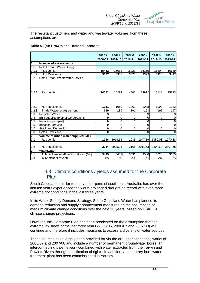

The resultant customers and water and wastewater volumes from these assumptions are:

#### **Table 4.2(b): Growth and Demand Forecast**

|                  |                                        | Year 0<br>2008-09 | Year 1<br>2009-10 | Year <sub>2</sub><br>2010-11 | Year <sub>3</sub><br>2011-12 | Year 4<br>2012-13 | Year 5<br>2013-14   |
|------------------|----------------------------------------|-------------------|-------------------|------------------------------|------------------------------|-------------------|---------------------|
| 1                | <b>Number of assessments</b>           |                   |                   |                              |                              |                   |                     |
| 1.1              | Retail Urban: Water Supply             |                   |                   |                              |                              |                   |                     |
| 1.1.1            | Residential                            | 15442             | 15681             | 15921                        | 16165                        | 16404             | 16639               |
| 1.1.2            | Non Residential                        | 3327              | 3351              | 3375                         | 3399                         | 3423              | 3447                |
| $\overline{1.2}$ | Retail Urban: Wastewater Service       |                   |                   |                              |                              |                   |                     |
| 1.2.1            | Residential                            | 14022             | 14299             | 14505                        | 14912                        | 15118             | 15823               |
| 1.2.2            | Non Residential                        | 1051              | 1060              | 1069                         | 1088                         | 1098              | 1133                |
| 1.2.3            | Trade Waste by Agreement               | 189               | 189               | 191                          | 193                          | 195               | 197                 |
| 1.3              | <b>Recycled Water</b>                  | 3                 | 3                 | 3                            | 3                            | 3                 | 3                   |
| 1.4              | Bulk supplies to other Corporations    | 0                 | 0                 | 0                            | $\mathbf 0$                  | $\Omega$          | 0                   |
| 1.5              | Irrigation (pumped)                    | 0                 | 0                 | $\mathbf 0$                  | $\mathbf 0$                  | 0                 | $\pmb{0}$           |
| 1.6              | Irrigation (gravity)                   | 0                 | $\mathbf 0$       | 0                            | $\mathbf 0$                  | 0                 | $\mathsf{O}\xspace$ |
| 1.7              | <b>Stock and Domestic</b>              | 0                 | $\mathbf 0$       | $\mathbf 0$                  | $\overline{0}$               | 0                 | 0                   |
| 1.8              | <b>Retail Diversions</b>               | 0                 | $\Omega$          | 0                            | $\Omega$                     | 0                 | $\overline{0}$      |
| 2                | Volume of urban water supplied (ML)    |                   |                   |                              |                              |                   |                     |
| 2.1              | Residential                            | 1786              | 1919.65           | 1933                         | 1947.19                      | 1959.08           | 1970.88             |
| 2.2              | Non Residential                        | 2944              | 2905.95           | 3165                         | 2911.53                      | 2804.63           | 2807.68             |
| 3                | Wastewater                             |                   |                   |                              |                              |                   |                     |
| 3.1              | Total volume of effluent produced (ML) | 3435              | 3483              | 3531                         | 3580                         | 3628              | 3675                |
| 3.3              | % of effluent reused                   | 3%                | 2%                | 2%                           | 2%                           | 2%                | 2%                  |

#### 4.3 Climate conditions / yields assumed for the Corporate Plan

South Gippsland, similar to many other parts of south-east Australia, has over the last ten years experienced the worst prolonged drought on record with even more extreme dry conditions in the last three years.

In its Water Supply Demand Strategy, South Gippsland Water has planned its demand reduction and supply enhancement measures on the assumption of medium climate change conditions over the next 50 years, based on CSIRO"s climate change projections.

However, this Corporate Plan has been predicated on the assumption that the extreme low flows of the last three years (2005/06, 2006/07 and 2007/08) will continue and therefore it includes measures to access a diversity of water sources.

These sources have largely been provided for via the drought contingency works of 2006/07 and 2007/08 and include a number of permanent groundwater bores, an interconnecting pipe network combined with water extracted from the Tarwin and Powlett Rivers through qualification of rights. In addition, a temporary bore water treatment plant has been commissioned in Yarram.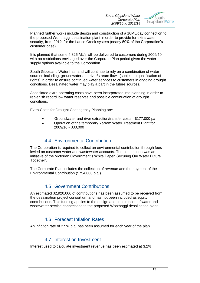

Planned further works include design and construction of a 10ML/day connection to the proposed Wonthaggi desalination plant in order to provide for extra water security, from 2012, for the Lance Creek system (nearly 50% of the Corporation"s customer base).

It is planned that some 4,826 ML"s will be delivered to customers during 2009/10 with no restrictions envisaged over the Corporate Plan period given the water supply options available to the Corporation.

South Gippsland Water has, and will continue to rely on a combination of water sources including, groundwater and river/stream flows (subject to qualification of rights) in order to ensure continued water services to customers in ongoing drought conditions. Desalinated water may play a part in the future sources.

Associated extra operating costs have been incorporated into planning in order to replenish record low water reserves and possible continuation of drought conditions.

Extra Costs for Drought Contingency Planning are:

- Groundwater and river extraction/transfer costs \$177,000 pa
- Operation of the temporary Yarram Water Treatment Plant for  $\bullet$ 2009/10 - \$30,000

## 4.4 Environmental Contribution

The Corporation is required to collect an environmental contribution through fees levied on customer water and wastewater accounts. The contribution was an initiative of the Victorian Government's White Paper 'Securing Our Water Future Together'.

The Corporate Plan includes the collection of revenue and the payment of the Environmental Contribution (\$754,000 p.a.).

### 4.5 Government Contributions

An estimated \$2,920,000 of contributions has been assumed to be received from the desalination project consortium and has not been included as equity contributions. This funding applies to the design and construction of water and wastewater service connections to the proposed Wonthaggi desalination plant.

# 4.6 Forecast Inflation Rates

An inflation rate of 2.5% p.a. has been assumed for each year of the plan.

#### 4.7 Interest on Investment

Interest used to calculate investment revenue has been estimated at 3.2%.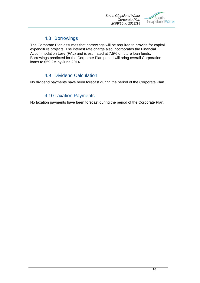

## 4.8 Borrowings

The Corporate Plan assumes that borrowings will be required to provide for capital expenditure projects. The interest rate charge also incorporates the Financial Accommodation Levy (FAL) and is estimated at 7.5% of future loan funds. Borrowings predicted for the Corporate Plan period will bring overall Corporation loans to \$59.2M by June 2014.

# 4.9 Dividend Calculation

No dividend payments have been forecast during the period of the Corporate Plan.

# 4.10Taxation Payments

No taxation payments have been forecast during the period of the Corporate Plan.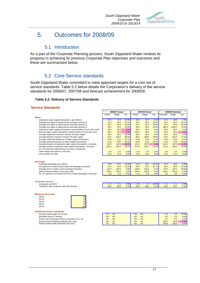

# 5. Outcomes for 2008/09

## 5.1 Introduction

As a part of the Corporate Planning process, South Gippsland Water reviews its progress in achieving its previous Corporate Plan objectives and outcomes and these are summarised below.

# 5.2 Core Service standards

South Gippsland Water committed to meet approved targets for a core set of service standards. Table 5.2 below details the Corporation's delivery of the service standards for 2006/07, 2007/08 and forecast achievement for 2008/09.

#### **Table 5.2: Delivery of Service Standards**

#### **Service Standards**

|                                                                         | 2006/07 Actual |        | 2007/08 Actual |        |        | 2008/09 Estimate |          |        |         |
|-------------------------------------------------------------------------|----------------|--------|----------------|--------|--------|------------------|----------|--------|---------|
|                                                                         | Actual         | Target | Var.           | Actual | Target | Var.             | Forecast | Target | Var.    |
| Water                                                                   |                |        |                |        |        |                  |          |        |         |
| Unplanned water supply interruptions (per 100km)                        | 26.3           | 37.0   | 28.9%          | 36.9   | 37.0   | 0.3%             | 27.5     | 28.0   | 1.8%    |
| Average time taken to attend bursts and leaks (priority 1)              | 13.6           | 30.0   | 54.7%          | 18.2   | 30.0   | 39.3%            | 19.0     | 30.0   | 36.7%   |
| Average time taken to attend bursts and leaks (priority 2)              | 28.7           | 40.0   | 28.3%          | 24.1   | 40.0   | 39.8%            | 23.0     | 40.0   | 42.5%   |
| Average time taken to attend bursts and leaks (priority 2)              | 38.0           | 50.0   | 24.0%          | 35.3   | 50.0   | 29.4%            | 380.0    | 1440.0 | 73.6%   |
| Unplanned water supply interruptions restored within 5 hours (per cent) | 98.0           | 99.0   | $-1.0%$        | 99.0   | 99.0   | 0.0%             | 99.0     | 99.0   | 0.0%    |
| Planned water supply interruptions restored within 5 hours (per cent)   | 98.0           | 99.0   | $-1.0%$        | 100.0  | 99.0   | 1.0%             | 90.0     | 99.0   | 9.1%    |
| Average unplanned customer minutes off water supply                     | 29.6           | 36.5   | 18.9%          | 36.4   | 36.2   | $-0.6%$          | 32.5     | 33.0   | 1.5%    |
| Average planned customer minutes off water supply                       | 63.5           | 158.7  | 60.0%          | 98.5   | 158.8  | 38.0%            | 40.0     | 150.0  | 73.3%   |
| Average unplanned frequency of water supply interruptions               | 0.26           | 0.37   | 29.7%          | 0.36   | 0.36   | 0.0%             | 0.30     | 0.30   | 0.0%    |
| Average planned frequency of water supply interruptions                 | 0.25           | 0.50   | 50.0%          | 0.36   | 0.50   | 28.0%            | 0.20     | 0.50   | 60.0%   |
| Average duration of unplanned water supply interruptions (minutes)      | 115.9          | 100.0  | $-15.9%$       | 101.5  | 100.0  | $-1.5%$          | 102.0    | 100.0  | $-2.0%$ |
| Average duration of planned water supply interruptions (minutes)        | 255.4          | 320.0  | 20.2%          | 273.9  | 320.0  | 14.4%            | 270.0    | 300.0  | 10.0%   |
| No. of customers experiencing more than 5 unplanned                     |                |        |                |        |        |                  |          |        |         |
| water supply interruptions in the year                                  | 0.0            | 0.0    | 0.0%           | 0.0    | 0.0    | 0.0%             | 0.0      | 0.0    | 0.0%    |
| Unaccounted for water                                                   | 14.0           | 14.0   | 0.0%           | 14.0   | 14.0   | 0.0%             | 14.0     | 14.0   | 0.0%    |
| <b>Sewerage</b>                                                         |                |        |                |        |        |                  |          |        |         |
| Sewerage blockages (per 100km)                                          | 16.8           | 20.5   | 18.0%          | 11.8   | 20.5   | 42.4%            | 17.5     | 18.0   | 2.8%    |
| Average time to attend sewer spills and blockages (minutes)             | 24.2           | 30.0   | 19.3%          | 22.6   | 30.0   | 24.7%            | 20.0     | 30.0   | 33.3%   |
| Average time to rectify a sewer blockage (minutes)                      | 113.0          | 120.0  | 5.8%           | 108.8  | 120.0  | 9.3%             | 65.0     | 120.0  | 45.8%   |
| Spills contained within 5 hours (per cent)                              | 100.0          | 100.0  | 0.0%           | 100.0  | 100.0  | 0.0%             | 100.0    | 100.0  | 0.0%    |
| No. of customers receiving more than 3 sewer blockages in the year      | 0.0            | 0.0    | 0.0%           | 0.0    | 0.0    | 0.0%             | 0.0      | 0.0    | 0.0%    |
|                                                                         |                |        |                |        |        |                  |          |        |         |
| <b>Customer service</b>                                                 |                |        |                |        |        |                  |          |        |         |
| Complaints to EWOV                                                      | 1.1            | 1.1    | 0.0%           | 0.9    | 1.1    | 18.2%            | 1.1      | 1.1    | 0.0%    |
| Telephone calls answered within 30 seconds                              | 99.0           | 98.0   | 1.0%           | 99.0   | 98.0   | 1.0%             | 99.0     | 98.0   | 1.0%    |
|                                                                         |                |        |                |        |        |                  |          |        |         |
| <b>Minimum flow rates</b>                                               |                |        |                |        |        |                  |          |        |         |
| 20mm<br>20                                                              |                |        |                |        |        |                  |          |        |         |
| 35<br>25mm                                                              |                |        |                |        |        |                  |          |        |         |
| 60<br>32mm                                                              |                |        |                |        |        |                  |          |        |         |
| 90<br>40mm                                                              |                |        |                |        |        |                  |          |        |         |
| 160<br>50mm                                                             |                |        |                |        |        |                  |          |        |         |
| <b>Additional service standards</b>                                     |                |        |                |        |        |                  |          |        |         |
| Recycled water target (% reused)                                        | n/a            | n/a    |                | n/a    | n/a    |                  | 2.0      | 3.0    | 33.3%   |
| Biosolids reuse (% reused)                                              | n/a            | n/a    |                | n/a    | n/a    |                  | 0.0      | 0.0    | 0.0%    |
| Small Town Sewerage Scheme connections (no. of)                         | n/a            | n/a    |                | n/a    | n/a    |                  | 0.0      | 0.0    | 0.0%    |
| Environmental discharge indicator (per cent)                            | n/a            | n/a    |                | n/a    | n/a    |                  | 100.0    | 95.0   | $-5.3%$ |
| Drinking water quality indicators (per cent)                            | n/a            | n/a    |                | n/a    | n/a    |                  | 100.0    | 100.0  | 0.0%    |
|                                                                         |                |        |                |        |        |                  |          |        |         |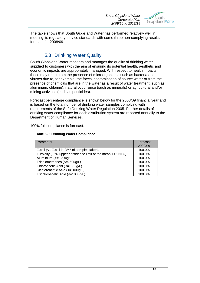

The table shows that South Gippsland Water has performed relatively well in meeting its regulatory service standards with some three non-complying results forecast for 2008/09.

# 5.3 Drinking Water Quality

South Gippsland Water monitors and manages the quality of drinking water supplied to customers with the aim of ensuring its potential health, aesthetic and economic impacts are appropriately managed. With respect to health impacts, these may result from the presence of microorganisms such as bacteria and viruses due to, for example, the faecal contamination of source water or from the presence of chemicals that are in the water as a result of water treatment (such as aluminium, chlorine), natural occurrence (such as minerals) or agricultural and/or mining activities (such as pesticides).

Forecast percentage compliance is shown below for the 2008/09 financial year and is based on the total number of drinking water samples complying with requirements of the Safe Drinking Water Regulation 2005. Further details of drinking water compliance for each distribution system are reported annually to the Department of Human Services.

100% full compliance is forecast.

| Parameter                                                   | Forecast |
|-------------------------------------------------------------|----------|
|                                                             | 2008/09  |
| E.coli (<1 E.coli in 98% of samples taken)                  | 100.0%   |
| Turbidity (95% upper confidence limit of the mean <= 5 NTU) | 100.0%   |
| Aluminium $\left(\leq=0.2$ mg/L)                            | 100.0%   |
| Trihalomethanes (<=250ug/L)                                 | 100.0%   |
| Chloroacetic Acid (<=150ug/L)                               | 100.0%   |
| Dichloroacetic Acid (<=100ug/L)                             | 100.0%   |
| Trichloroacetic Acid (<=100ug/L)                            | 100.0%   |

#### **Table 5.3: Drinking Water Compliance**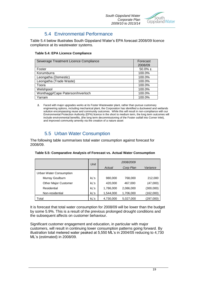

# 5.4 Environmental Performance

Table 5.4 below illustrates South Gippsland Water"s EPA forecast 2008/09 licence compliance at its wastewater systems.

#### **Table 5.4: EPA Licence Compliance**

| Sewerage Treatment Licence Compliance | Forecast    |
|---------------------------------------|-------------|
|                                       | 2008/09     |
| Foster                                | $50.0\%$ 1. |
| Korumburra                            | 100.0%      |
| Leongatha (Domestic)                  | 100.0%      |
| Leongatha (Trade Waste)               | 100.0%      |
| Toora                                 | 100.0%      |
| Welshpool                             | 100.0%      |
| Wonthaggi/Cape Paterson/Inverloch     | 100.0%      |
| Yarram                                | 100.0%      |

*1.* Faced with major upgrades works at its Foster Wastewater plant, rather than pursue customary engineering options, including mechanical plant, the Corporation has identified a duckweed and wetlands solution encompassing reuse and community outcomes. While this will result in non-compliance with our Environmental Protection Authority (EPA) licence in the short to medium term, the long term outcomes will include environmental benefits, (the long term decommissioning of the Foster outfall into Corner Inlet), and improved community amenity via the creation of a nature asset

# 5.5 Urban Water Consumption

The following table summarises total water consumption against forecast for 2008/09.

|                             | Unit |           | 2008/2009 |           |
|-----------------------------|------|-----------|-----------|-----------|
|                             |      | Actual    | Corp Plan | Variance  |
| Urban Water Consumption     |      |           |           |           |
| Murray Goulburn             | kL's | 980,000   | 768,000   | 212,000   |
| <b>Other Major Customer</b> | kL's | 420,000   | 467,000   | (47,000)  |
| Residential                 | kL's | 1,786,000 | 2,086,000 | (300,000) |
| Non-residential             | kL's | 1,544,000 | 1,706,000 | (162,000) |
| Total                       | kL's | 4,730,000 | 5,027,000 | (297,000) |

#### **Table 5.5: Comparative Analysis of Forecast vs. Actual Water Consumption**

It is forecast that total water consumption for 2008/09 will be lower than the budget by some 5.9%. This is a result of the previous prolonged drought conditions and the subsequent affects on customer behaviour.

Significant customer engagement and education, in particular with major customers, will result in continuing lower consumption patterns going forward. By illustration total metered water peaked at 5,550 ML"s in 2004/05 reducing to 4,730 ML"s (estimated) in 2008/09.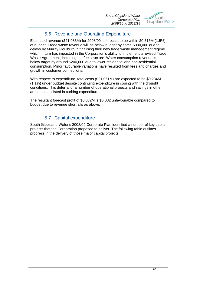

# 5.6 Revenue and Operating Expenditure

Estimated revenue (\$21.083M) for 2008/09 is forecast to be within \$0.316M (1.5%) of budget. Trade waste revenue will be below budget by some \$300,000 due to delays by Murray Goulburn in finalising their new trade waste management regime which in turn has impacted in the Corporation's ability to implement a revised Trade Waste Agreement, including the fee structure. Water consumption revenue is below target by around \$200,000 due to lower residential and non-residential consumption. Minor favourable variations have resulted from fees and charges and growth in customer connections.

With respect to expenditure, total costs (\$21.051M) are expected to be \$0.234M (1.1%) under budget despite continuing expenditure in coping with the drought conditions. This deferral of a number of operational projects and savings in other areas has assisted in curbing expenditure.

The resultant forecast profit of \$0.032M is \$0.082 unfavourable compared to budget due to revenue shortfalls as above.

# 5.7 Capital expenditure

South Gippsland Water"s 2008/09 Corporate Plan identified a number of key capital projects that the Corporation proposed to deliver. The following table outlines progress in the delivery of those major capital projects.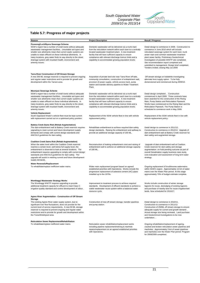

#### **Table 5.7: Progress of major projects**

| Reason                                                                                                                                                                                                                                                                                                                                                                                                                                                               | <b>Project Description</b>                                                                                                                                                                                                                                                                                                                                 | <b>Result / Progress</b>                                                                                                                                                                                                                                                                                                                                                                                                                      |
|----------------------------------------------------------------------------------------------------------------------------------------------------------------------------------------------------------------------------------------------------------------------------------------------------------------------------------------------------------------------------------------------------------------------------------------------------------------------|------------------------------------------------------------------------------------------------------------------------------------------------------------------------------------------------------------------------------------------------------------------------------------------------------------------------------------------------------------|-----------------------------------------------------------------------------------------------------------------------------------------------------------------------------------------------------------------------------------------------------------------------------------------------------------------------------------------------------------------------------------------------------------------------------------------------|
| Poowong/Loch/Nyora Sewerage Scheme<br>SGW's region has a number of small towns without adequate<br>wastewater management facilities. Unsuitable soil types and<br>smaller size allotments mean that current septic systems are<br>unable to retain effluent on these individual allotments. In<br>many locations, grey water finds its way directly to the street<br>drainage system with resultant health, environment and<br>amenity issues.                       | Domestic wastewater will be delivered via a trunk main<br>from the reticulation network within each town to a centrally<br>located wastewater treatment plant. A new treatment<br>facility that will have sufficient capacity to ensure<br>compliance with relevant discharge licence limits and a<br>capability to accommodate growing population levels. | Detail design to commence in 2009. Construction to<br>commence in June 2010 which will include<br>reticulated sewerage system for each town, trunk<br>sewer main and common wastewater treatment<br>plant sewer facility. Preliminary Geotechnical<br>Investigation of possible WWTP site completed.<br>Site recommendation report completed and<br>submitted to management. Design brief completed,<br>Tenders invited, closing May 1st 2009 |
| <b>Tarra River Construction of Off Stream Storage</b><br>A new 200 ML storage reservoir is required to prevent ongoing<br>and regular water restrictions and to provide for growth and<br>development within the Yarram area.                                                                                                                                                                                                                                        | Acquisition of private land site near Tarra River off take,<br>community consultation, construction of embankment wall,<br>provision of power supply, vehicle access track, pump<br>station and transfer delivery pipeline to Water Treatment<br>Plant.                                                                                                    | Off stream storage on holdwhile investigating<br>alternate bore supply option. To be fully<br>domensioned and commenced during 2009/10.                                                                                                                                                                                                                                                                                                       |
| Meeniyan Sewerage Scheme<br>SGW's region has a number of small towns without adequate<br>wastewater management facilities. Unsuitable soil types and<br>smaller size allotments mean that current septic systems are<br>unable to retain effluent on these individual allotments. In<br>many locations, grey water finds its way directly to the street<br>drainage system with resultant health, environment and<br>amenity issues.                                 | Domestic wastewater will be delivered via a trunk main<br>from the reticulation network within each town to a centrally<br>located wastewater treatment plant. A new treatment<br>facility that will have sufficient capacity to ensure<br>compliance with relevant discharge licence limits and a<br>capability to accommodate growing population levels. | Detail design completed . Construction<br>commenced in April 2009. Three contracts have<br>been awarded for the construction of the Rising<br>Main, Pump Station and Reticulation Pipework.<br>Works have commenced on the Rising Main and the<br>Reticulation Pipework. The Pump Station is<br>scheduled to commence work in May 2009.                                                                                                       |
| Vehicle Replacement<br>South Gippsland Water's vehicle fleet must be kept current<br>with replacement carried out on a optimised policy posiiton.                                                                                                                                                                                                                                                                                                                    | Replacement of the SGW vehicle fleet in line with vehicle<br>replacement policy.                                                                                                                                                                                                                                                                           | Replacement of the SGW vehicle fleet in line with<br>vehicle replacement policy.                                                                                                                                                                                                                                                                                                                                                              |
| <b>Battery Creek Dams Risk (Rehab-Augmentation)</b><br>The dam embankment wall at Battery Creek reservoir requires<br>upgrading to meet current and future development supply<br>demands and comply with current design standards and<br>ANCOLD guidelines for dam safety.                                                                                                                                                                                           | Rehabilitate embankment to achieve required dam safety<br>design standards. Raising the embankment and spillway to<br>provide an additional storage capacity of 150 ML.                                                                                                                                                                                    | Detail design to commence in 2011/12.<br>Construction to commence in 2012/13. Upgrade of<br>dam embankment wall at Battery Creek reservoir for<br>dam safety and augmented storage.                                                                                                                                                                                                                                                           |
| <b>Coalition Creek Dams Risk (Rehab-Augmentation)</b><br>When the water level within the Coalition Creek reservoir<br>reaches a certain level, well below full supply level, the<br>embankment is observed to leak at several locations. The<br>embankment requires upgrading to comply with current design<br>standards and ANCOLD guidelines for dam safety. The<br>upgrade will assist in meeting current and future development<br>supply demands.               | Reconstruction of leaking embankment crest and raising of<br>embankment wall to achieve an additional storage capacity<br>of 100 ML.                                                                                                                                                                                                                       | Upgrade of dam embankment wall at Coalition<br>Creek reservoir for dam safety and storage<br>augmentation on hold pending outcome as part of<br>overall Desalination supply business case study,<br>cost evaluation and assessment of long term water<br>strategy.                                                                                                                                                                            |
| Water Renewals/Replacement<br>To rehabilitate/replace inefficient water mains.                                                                                                                                                                                                                                                                                                                                                                                       | Water main replacement program based on agreed<br>established priorities with Operations. Works include the<br>progressive replacement of asbestos cement (AC) pipes<br>installed up to the 1970s.                                                                                                                                                         | Ongoing replacement of troublesome watermains<br>within SGW's region. Approximately 12 km of water<br>mains over the Water Plan period. At this stage<br>approximately 70% of budget estimate complete.                                                                                                                                                                                                                                       |
| Wonthaggi Wastewater Strategy Works<br>The Wonthaggi WWTP requires upgrading to provide<br>additional treatment capacity for effluent to meet Class C<br>irrigation quality standard and control development of odour.                                                                                                                                                                                                                                               | Improvement to treatment process to achieve required<br>standards. Development of effluent standards to achieve a<br>viable wastewater reuse system within a balanced water<br>resource cycle.                                                                                                                                                             | Works include construction of winter storage<br>lagoons for reuse, desludging of existing lagoons<br>and purchase of nearby land for reuse irrigation/wet<br>lands. Now scheduled for 2016/17.                                                                                                                                                                                                                                                |
| Agnes River Augmentation - Construction of Off Stream<br>Storage<br>The existing Agnes River water supply system, due to<br>significant river flow fluctuations, does not provide for the<br>current level of service requirements. A new 50 ML storage<br>reservoir is required to prevent ongoing and regular water<br>restrictions and to provide for growth and development within<br>the Toora/Welshpool area.<br>Reticulation Sewer Replacement/Rehabilitation | Construction of new off stream storage, transfer pipelines<br>and pump station.                                                                                                                                                                                                                                                                            | Detail design to commence in 2010/11.<br>Construction to commence in 2011/12.<br>Construction of 250ML off stream storage to ensure<br>adequate supply for current and growth demand.<br>Actual storage size being reviewed. Land purchase<br>and Geotechnical Investigations to be now<br>undertaken                                                                                                                                         |
| To rehabilitate/replace inefficient water mains.                                                                                                                                                                                                                                                                                                                                                                                                                     | Reticulation sewer rehabilitation/replacement works<br>including pipeline replacement/relining & manhole<br>repairs/replacement on an agreed established priorities<br>with Operations.                                                                                                                                                                    | Ongoing rehabilitation/replacement of ageing,<br>cracked and broken reticulation sewer pipelines and<br>manholes. Approximately 3 km of sewer pipelines<br>and manholes over the Water Plan period. Program<br>for 2008/2009 completed.                                                                                                                                                                                                       |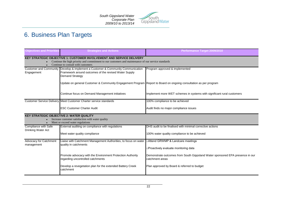

# 6. Business Plan Targets

| <b>Objectives and Priorities</b>                             | <b>Strategies and Actions</b>                                                                                                                                                                                            | Performance Target 2009/2010                                                                     |
|--------------------------------------------------------------|--------------------------------------------------------------------------------------------------------------------------------------------------------------------------------------------------------------------------|--------------------------------------------------------------------------------------------------|
|                                                              | <b>KEY STRATEGIC OBJECTIVE 1: CUSTOMER INVOLVEMENT AND SERVICE DELIVERY</b><br>Continue the high priority and commitment to our customers and maintenance of our service standards<br>Continue to consult with customers |                                                                                                  |
| <b>Customer and Community</b><br>Engagement                  | Develop & implement a Customer & Community Communication<br>Framework around outcomes of the revised Water Supply<br><b>Demand Strategy</b>                                                                              | Program approved & implemented                                                                   |
|                                                              | Update on general Customer & Community Engagement Program Report to Board on ongoing consultation as per program                                                                                                         |                                                                                                  |
|                                                              | Continue focus on Demand Management initiatives                                                                                                                                                                          | Implement more WET schemes in systems with significant rural customers                           |
|                                                              | Customer Service Delivery Meet Customer Charter service standards                                                                                                                                                        | 100% compliance to be achieved                                                                   |
|                                                              | <b>ESC Customer Charter Audit</b>                                                                                                                                                                                        | Audit finds no major compliance issues                                                           |
| <b>KEY STRATEGIC OBJECTIVE 2: WATER QUALITY</b><br>$\bullet$ | Increase customer satisfaction with water quality<br>Meet or exceed water regulations                                                                                                                                    |                                                                                                  |
| Compliance with Safe                                         | External auditing on compliance with regulations                                                                                                                                                                         | DHS audit to be finalised with minimal corrective actions                                        |
| Drinking Water Act                                           | Meet water quality compliance                                                                                                                                                                                            | 100% water quality compliance to be achieved                                                     |
| Advocacy for Catchment                                       | Liaise with Catchment Management Authorities, to focus on water                                                                                                                                                          | □ Attend GRWMP & Landcare meetings                                                               |
| management                                                   | quality in catchments                                                                                                                                                                                                    | □Proactively evaluate monitoring data                                                            |
|                                                              | Promote advocacy with the Environment Protection Authority<br>regarding uncontrolled catchments                                                                                                                          | Demonstrate outcomes from South Gippsland Water sponsored EPA presence in our<br>catchment areas |
|                                                              | Develop a revegetation plan for the extended Battery Creek<br>catchment                                                                                                                                                  | Plan approved by Board & referred to budget                                                      |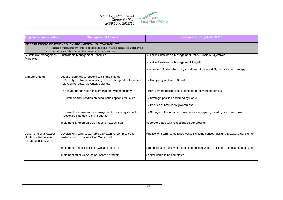

| <b>Objectives and Priorities</b>                                        | <b>Strategies and Actions</b>                                                                                                                                                                               | Performance Target 2009/2010                                                                                                                                                            |
|-------------------------------------------------------------------------|-------------------------------------------------------------------------------------------------------------------------------------------------------------------------------------------------------------|-----------------------------------------------------------------------------------------------------------------------------------------------------------------------------------------|
|                                                                         | <b>KEY STRATEGIC OBJECTIVE 3: ENVIRONMENTAL SUSTAINABILITY</b><br>Manage wastewater systems to optimise the link with the integrated water cycle<br>Secure sustainable future water resources for customers |                                                                                                                                                                                         |
| Sustainable Management<br>Principles                                    | Sustainable Management Principles                                                                                                                                                                           | □Finalise Sustainable Management Policy, Goals & Objectives<br>□Finalise Sustainable Management Targets<br>□Implement Sustainablilty Organisational Structure & Systems as per Strategy |
| <b>Climate Change</b>                                                   | Better understand & respond to climate change<br>□ Actively involved in assessing climate change developments<br>via CSIRO, DSE, VicWater, BoM, etc                                                         | □Half yearly update to Board                                                                                                                                                            |
|                                                                         | □ Secure further water entitlements for system security                                                                                                                                                     | □Entitlement applications submitted to relevant authorities                                                                                                                             |
|                                                                         | □Establish final position on desalination options for SGW                                                                                                                                                   | □Strategic position endorsed by Board                                                                                                                                                   |
|                                                                         |                                                                                                                                                                                                             | □Position submitted to government                                                                                                                                                       |
|                                                                         | □Pro-active/conservative management of water systems to<br>recognise changed rainfall patterns                                                                                                              | □Storage optimisation ensures best case capacity heading into drawdown                                                                                                                  |
|                                                                         | Implement & report on CO2 reduction action plan                                                                                                                                                             | Report to Board with reductions as per program                                                                                                                                          |
| Long Term Wastewater<br>Strategy - Removal of<br>ocean outfalls by 2018 | Develop long term sustainable approach for compliance for<br>Baxter's Beach, Toora & Port Welshpool                                                                                                         | Finalise long term compliance works including concept designs & stakeholder sign-off                                                                                                    |
|                                                                         | Implement Phase 1 of Foster wetland concept                                                                                                                                                                 | Land purchase, duck weed ponds completed with EPA licence compliance achieved                                                                                                           |
|                                                                         | Implement other works as per agreed program                                                                                                                                                                 | Capital works to be completed                                                                                                                                                           |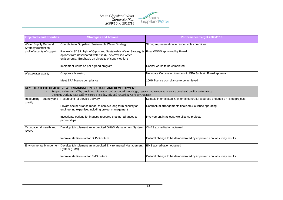

| <b>Objectives and Priorities</b>                                                   | <b>Strategies and Actions</b>                                                                                                                                                                                                                                                                             | Performance Target 2009/2010                                                     |
|------------------------------------------------------------------------------------|-----------------------------------------------------------------------------------------------------------------------------------------------------------------------------------------------------------------------------------------------------------------------------------------------------------|----------------------------------------------------------------------------------|
| <b>Water Supply Demand</b><br>Strategy (restriction<br>profile/security of supply) | Contribute to Gippsland Sustainable Water Strategy<br>Review WSDS in light of Gippsland Sustainable Water Strategy &<br>options from desalinated water study, new/revised water<br>entitlements. Emphasis on diversity of supply options.                                                                 | Strong representation to responsible committee<br>Final WSDS approved by Board   |
|                                                                                    | Implement works as per agreed program                                                                                                                                                                                                                                                                     | Capital works to be completed                                                    |
| Wastewater quality                                                                 | Corporate licensing                                                                                                                                                                                                                                                                                       | Negotiate Corporate Licence with EPA & obtain Board approval                     |
|                                                                                    | Meet EPA licence compliance                                                                                                                                                                                                                                                                               | 100% licence compliance to be achieved                                           |
| $\bullet$                                                                          | <b>KEY STRATEGIC OBJECTIVE 4: ORGANISATION CULTURE AND DEVELOPMENT</b><br>Support and retain staff by providing information and enhanced knowledge, systems and resources to ensure continued quality performance<br>Continue working with staff to ensure a healthy, safe and rewarding work environment |                                                                                  |
| quality                                                                            | Resourcing – quantity and Resourcing for service delivery                                                                                                                                                                                                                                                 | Suitable internal staff & external contract resources engaged on listed projects |
|                                                                                    | Private sector alliance model to achieve long term security of<br>engineering expertise, including project management                                                                                                                                                                                     | Contractual arrangements finalised & alliance operating                          |
|                                                                                    | Investigate options for industry resource sharing, alliances &<br>partnerships                                                                                                                                                                                                                            | Involvement in at least two alliance projects                                    |
| Occupational Health and<br>Safety                                                  | Develop & implement an accredited OH&S Management System                                                                                                                                                                                                                                                  | OH&S accreditation obtained                                                      |
|                                                                                    | Improve staff/contractor OH&S culture                                                                                                                                                                                                                                                                     | Cultural change to be demonstrated by improved annual survey results             |
|                                                                                    | Environmental Mangement Develop & implement an accredited Environmental Management<br>System (EMS)                                                                                                                                                                                                        | <b>EMS</b> accreditation obtained                                                |
|                                                                                    | Improve staff/contractor EMS culture                                                                                                                                                                                                                                                                      | Cultural change to be demonstrated by improved annual survey results             |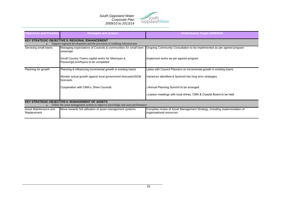

| <b>Objectives and Priorities</b>     | <b>Strategies and Actions</b>                                                                                                            | Performance Target 2009/2010                                                                          |
|--------------------------------------|------------------------------------------------------------------------------------------------------------------------------------------|-------------------------------------------------------------------------------------------------------|
|                                      | <b>KEY STRATEGIC OBJECTIVE 5: REGIONAL ENHANCEMENT</b><br>Support regional development and the provision of enabling infrastructure      |                                                                                                       |
| Servicing small towns                | Managing expectations of Councils & communities for small town<br>sewerage                                                               | Ongoing Community Consultation to be implemented as per agreed program                                |
|                                      | Small Country Towns capital works for Meeniyan &<br>Poowong/Loch/Nyora to be completed                                                   | Implement works as per agreed program                                                                 |
| Planning for growth                  | Planning & influencing incremental growth in existing towns                                                                              | Liaise with Council Planners on incremental growth in existing towns                                  |
|                                      | Monitor actual growth against local government forecasts/SGW<br>forecasts                                                                | Variances identified & factored into long term strategies                                             |
|                                      | Cooperation with CMA's, Shire Councils                                                                                                   | □Annual Planning Summit to be arranged                                                                |
|                                      |                                                                                                                                          | □Liaison meetings with local shires, CMA & Coastal Board to be held                                   |
|                                      | <b>KEY STRATEGIC OBJECTIVE 6: MANAGEMENT OF ASSETS</b><br>Utilise the asset management system to improve knowledge and asset performance |                                                                                                       |
| Asset Maintenance and<br>Replacement | Move towards full utilisation of asset management systems                                                                                | Complete review of Asset Management Strategy, including implementation of<br>organisational resources |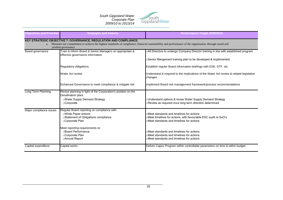

| <b>Objectives and Priorities</b> | <b>Strategies and Actions</b>                                                                                                                                                                                                                            | <b>Performance Target 2009/2010</b>                                                                                                                                                                    |
|----------------------------------|----------------------------------------------------------------------------------------------------------------------------------------------------------------------------------------------------------------------------------------------------------|--------------------------------------------------------------------------------------------------------------------------------------------------------------------------------------------------------|
| $\bullet$                        | <b>KEY STRATEGIC OBJECTIVE 7: GOVERNANCE, REGULATION AND COMPLIANCE</b><br>Maintain our commitment to achieve the highest standards of compliance, financial sustainability and performance of the organisation, through sound and<br>prudent governance |                                                                                                                                                                                                        |
| Board governance                 | Train & inform Board & Senior Managers on appropriate &<br>effective governance information                                                                                                                                                              | All Directors to undergo Company Director training in line with established program<br>□Senior Mangement training plan to be developed & implemented                                                   |
|                                  | Regulatory obligations                                                                                                                                                                                                                                   | Establish regular Board information briefings with DSE, DTF, etc                                                                                                                                       |
|                                  | Water Act review                                                                                                                                                                                                                                         | Understand & respond to the implications of the Water Act review & related legislative<br>changes                                                                                                      |
|                                  | Enhanced Governance to meet compliance & mitigate risk                                                                                                                                                                                                   | Implement Board risk management framework/process recommendations                                                                                                                                      |
| Long Term Planning               | Revise planning in light of the Corporation's position on the<br>Desalination plant<br>□Water Supply Demand Strategy<br>□Corporate                                                                                                                       | □Understand options & revise Water Supply Demand Strategy<br>Review as required once long term direction determined                                                                                    |
| Major compliance issues          | Regular Board reporting on compliance with:<br><b>DWhite Paper actions</b><br>□Statement of Obligations compliance<br>□Corporate Plan<br>Meet reporting requirements re:<br>□Board Performance                                                           | □Meet standards and timelines for actions<br>□Meet timelines for actions, with favourable ESC audit re SoO's<br>□Meet standards and timelines for actions<br>⊤Meet standards and timelines for actions |
|                                  | □Corporate Plan<br>□ Annual Report                                                                                                                                                                                                                       | □Meet standards and timelines for actions<br>□Meet standards and timelines for actions                                                                                                                 |
| Capital expenditure              | Capital works                                                                                                                                                                                                                                            | Deliver Capex Program within controllable parameters on time & within budget                                                                                                                           |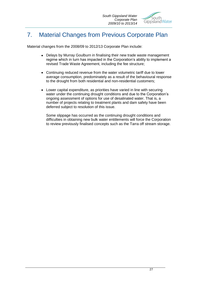# 7. Material Changes from Previous Corporate Plan

Material changes from the 2008/09 to 2012/13 Corporate Plan include:

- Delays by Murray Goulburn in finalising their new trade waste management regime which in turn has impacted in the Corporation's ability to implement a revised Trade Waste Agreement, including the fee structure;
- Continuing reduced revenue from the water volumetric tariff due to lower average consumption, predominately as a result of the behavioural response to the drought from both residential and non-residential customers;
- Lower capital expenditure, as priorities have varied in line with securing  $\bullet$ water under the continuing drought conditions and due to the Corporation's ongoing assessment of options for use of desalinated water. That is, a number of projects relating to treatment plants and dam safety have been deferred subject to resolution of this issue.

Some slippage has occurred as the continuing drought conditions and difficulties in obtaining new bulk water entitlements will force the Corporation to review previously finalised concepts such as the Tarra off stream storage.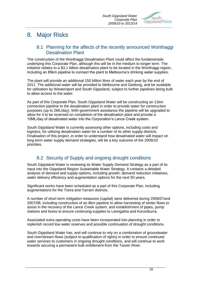

# 8. Major Risks

## 8.1 Planning for the affects of the recently announced Wonthaggi Desalination Plant

The construction of the Wonthaggi Desalination Plant could affect the fundamentals underlying this Corporate Plan, although this will be in the medium to longer term. The initiative relates to a \$3.1 billion desalination plant to be located in the Wonthaggi region, including an 85km pipeline to connect the plant to Melbourne"s drinking water supplies.

The plant will provide an additional 150 billion litres of water each year by the end of 2011. The additional water will be provided to Melbourne and Geelong, and be available for utilisation by Westernport and South Gippsland, subject to further pipelines being built to allow access to the water.

As part of this Corporate Plan, South Gippsland Water will be constructing an 11km connection pipeline to the desalination plant in order to provide water for construction purposes (up to 2ML/day). With government assistance the pipeline will be upgraded to allow for it to be reversed on completion of the desalination plant and provide a 10ML/day of desalinated water into the Corporation"s Lance Creek system.

South Gippsland Water is currently assessing other options, including costs and logistics, for utilising desalination water for a number of its other supply districts. Finalisation of this project ,in order to understand how desalinated water will impact on long term water supply demand strategies, will be a key outcome of the 2009/10 priorities.

# 8.2 Security of Supply and ongoing drought conditions

South Gippsland Water is reviewing its Water Supply Demand Strategy as a part of its input into the Gippsland Region Sustainable Water Strategy. It contains a detailed analysis of demand and supply options, including growth, demand reduction initiatives, water delivery efficiency and augmentation options for the next 50 years.

Significant works have been scheduled as a part of this Corporate Plan, including augmentations for the Toora and Yarram districts.

A number of short term mitigation measures (capital) were delivered during 2006/07and 2007/08, including construction of an 8km pipeline to allow harvesting of winter flows to assist in the recovery of the Lance Creek system, and establishment of pipes, pump stations and bores to ensure continuing supplies to Leongatha and Korumburra.

Associated extra operating costs have been incorporated into planning in order to replenish record low water reserves and possible continuation of drought conditions.

South Gippsland Water has, and will continue to rely on a combination of groundwater and river/stream flows (subject to qualification of rights) in order to ensure continued water services to customers in ongoing drought conditions, and will continue to work towards securing a permanent bulk entitlement from the Tarwin River.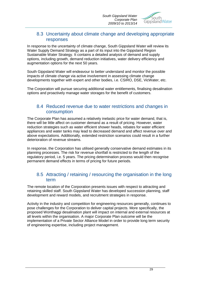

### 8.3 Uncertainty about climate change and developing appropriate responses

In response to the uncertainty of climate change, South Gippsland Water will review its Water Supply Demand Strategy as a part of its input into the Gippsland Region Sustainable Water Strategy. It contains a detailed analysis of demand and supply options, including growth, demand reduction initiatives, water delivery efficiency and augmentation options for the next 50 years.

South Gippsland Water will endeavour to better understand and monitor the possible impacts of climate change via active involvement in assessing climate change developments together with expert and other bodies, i.e. CSIRO, DSE, VicWater, etc.

The Corporation will pursue securing additional water entitlements, finalising desalination options and proactively manage water storages for the benefit of customers.

## 8.4 Reduced revenue due to water restrictions and changes in consumption

The Corporate Plan has assumed a relatively inelastic price for water demand, that is, there will be little affect on customer demand as a result of pricing. However, water reduction strategies such as water efficient shower heads, rebates for water efficient appliances and water tanks may lead to decreased demand and affect revenue over and above expectations. Additionally, extended restriction scenarios could result in a further deterioration of revenue streams.

In response, the Corporation has utilised generally conservative demand estimates in its planning processes. The risk for revenue shortfall is restricted to the length of the regulatory period, i.e. 5 years. The pricing determination process would then recognise permanent demand effects in terms of pricing for future periods.

## 8.5 Attracting / retaining / resourcing the organisation in the long term

The remote location of the Corporation presents issues with respect to attracting and retaining skilled staff. South Gippsland Water has developed succession planning, staff development and reward models, and recruitment strategies in response.

Activity in the industry and competition for engineering resources generally, continues to pose challenges for the Corporation to deliver capital projects. More specifically, the proposed Wonthaggi desalination plant will impact on internal and external resources at all levels within the organisation. A major Corporate Plan outcome will be the implementation of a Private Sector Alliance Model in order to provide long term security of engineering expertise, including project management.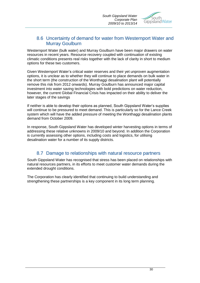

## 8.6 Uncertainty of demand for water from Westernport Water and Murray Goulburn

Westernport Water (bulk water) and Murray Goulburn have been major drawers on water resources in recent years. Resource recovery coupled with continuation of existing climatic conditions presents real risks together with the lack of clarity in short to medium options for these two customers.

Given Westernport Water"s critical water reserves and their yet unproven augmentation options, it is unclear as to whether they will continue to place demands on bulk water in the short term (the construction of the Wonthaggi desalination plant will potentially remove this risk from 2012 onwards). Murray Goulburn has announced major capital investment into water saving technologies with bold predictions on water reduction, however, the current Global Financial Crisis has impacted on their ability to deliver the later stages of the savings

If neither is able to develop their options as planned, South Gippsland Water"s supplies will continue to be pressured to meet demand. This is particularly so for the Lance Creek system which will have the added pressure of meeting the Wonthaggi desalination plants demand from October 2009.

In response, South Gippsland Water has developed winter harvesting options in terms of addressing these relative unknowns in 2009/10 and beyond. In addition the Corporation is currently assessing other options, including costs and logistics, for utilising desalination water for a number of its supply districts.

# 8.7 Damage to relationships with natural resource partners

South Gippsland Water has recognised that stress has been placed on relationships with natural resources partners, in its efforts to meet customer water demands during the extended drought conditions.

The Corporation has clearly identified that continuing to build understanding and strengthening these partnerships is a key component in its long term planning.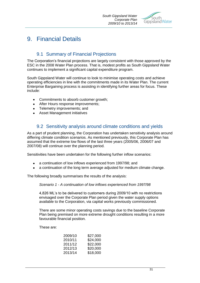

# 9. Financial Details

# 9.1 Summary of Financial Projections

The Corporation"s financial projections are largely consistent with those approved by the ESC in the 2008 Water Plan process. That is, modest profits as South Gippsland Water continues to implement a significant capital expenditure program.

South Gippsland Water will continue to look to minimise operating costs and achieve operating efficiencies in line with the commitments made in its Water Plan. The current Enterprise Bargaining process is assisting in identifying further areas for focus. These include:

- $\bullet$ Commitments to absorb customer growth;
- $\bullet$ After Hours response improvements;
- Telemetry improvements; and
- Asset Management initiatives

# 9.2 Sensitivity analysis around climate conditions and yields

As a part of prudent planning, the Corporation has undertaken sensitivity analysis around differing climate condition scenarios. As mentioned previously, this Corporate Plan has assumed that the extreme low flows of the last three years (2005/06, 2006/07 and 2007/08) will continue over the planning period.

Sensitivities have been undertaken for the following further inflow scenarios:

- a continuation of low inflows experienced from 1997/98; and
- $\bullet$ a continuation of the long term average adjusted for medium climate change.

The following broadly summarises the results of the analysis:

*Scenario 1 - A continuation of low inflows experienced from 1997/98*

4,826 ML"s to be delivered to customers during 2009/10 with no restrictions envisaged over the Corporate Plan period given the water supply options available to the Corporation, via capital works previously commissioned.

There are some minor operating costs savings due to the baseline Corporate Plan being premised on more extreme drought conditions resulting in a more favourable financial position.

These are:

| 2009/10 | \$27,000 |
|---------|----------|
| 2010/11 | \$24,000 |
| 2011/12 | \$22,000 |
| 2012/13 | \$20,000 |
| 2013/14 | \$18,000 |
|         |          |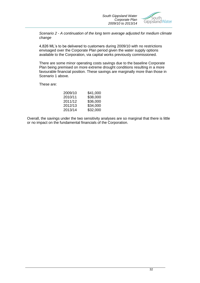

*Scenario 2 - A continuation of the long term average adjusted for medium climate change*

4,826 ML"s to be delivered to customers during 2009/10 with no restrictions envisaged over the Corporate Plan period given the water supply options available to the Corporation, via capital works previously commissioned.

There are some minor operating costs savings due to the baseline Corporate Plan being premised on more extreme drought conditions resulting in a more favourable financial position. These savings are marginally more than those in Scenario 1 above.

These are:

| 2009/10 | \$41,000 |
|---------|----------|
| 2010/11 | \$38,000 |
| 2011/12 | \$36,000 |
| 2012/13 | \$34,000 |
| 2013/14 | \$32,000 |

Overall, the savings under the two sensitivity analyses are so marginal that there is little or no impact on the fundamental financials of the Corporation.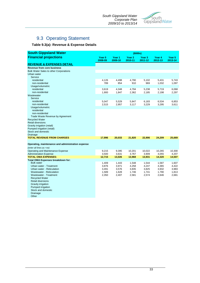

# 9.3 Operating Statement

#### **Table 9.3(a): Revenue & Expense Details**

| <b>South Gippsland Water</b>                      | (\$000s)                     |                              |                              |                              |                              |                              |  |  |
|---------------------------------------------------|------------------------------|------------------------------|------------------------------|------------------------------|------------------------------|------------------------------|--|--|
| <b>Financial projections</b>                      | Year <sub>0</sub><br>2008-09 | Year <sub>1</sub><br>2009-10 | Year <sub>2</sub><br>2010-11 | Year <sub>3</sub><br>2011-12 | Year <sub>4</sub><br>2012-13 | Year <sub>5</sub><br>2013-14 |  |  |
| <b>REVENUE &amp; EXPENSES DETAIL</b>              |                              |                              |                              |                              |                              |                              |  |  |
| <b>Revenue from core business</b>                 |                              |                              |                              |                              |                              |                              |  |  |
| <b>Bulk Water Sales to other Corporations</b>     |                              |                              |                              |                              |                              |                              |  |  |
| Urban water                                       |                              |                              |                              |                              |                              |                              |  |  |
| Service                                           |                              |                              |                              |                              |                              |                              |  |  |
| residential                                       | 4,126                        | 4,498                        | 4,790                        | 5,102                        | 5,431                        | 5,743                        |  |  |
| non-residential                                   | 789                          | 854                          | 910                          | 969                          | 1,032                        | 1,097                        |  |  |
| Usage/volumetric<br>residential                   | 3,619                        | 4,348                        | 4,794                        | 5,238                        | 5,719                        | 6,068                        |  |  |
| non-residential                                   | 1,900                        | 1,847                        | 2,362                        | 2,185                        | 2,198                        | 2,297                        |  |  |
| Wastewater                                        |                              |                              |                              |                              |                              |                              |  |  |
| Service                                           |                              |                              |                              |                              |                              |                              |  |  |
| residential                                       | 5,047                        | 5,529                        | 5,847                        | 6,183                        | 6,534                        | 6,853                        |  |  |
| non-residential                                   | 2,515                        | 2,957                        | 3,117                        | 3,229                        | 3,295                        | 3,611                        |  |  |
| Usage/volumetric                                  |                              |                              |                              |                              |                              |                              |  |  |
| residential                                       |                              |                              |                              |                              |                              |                              |  |  |
| non-residential                                   |                              |                              |                              |                              |                              |                              |  |  |
| Trade Waste Revenue by Agreement                  |                              |                              |                              |                              |                              |                              |  |  |
| <b>Recycled Water</b>                             |                              |                              |                              |                              |                              |                              |  |  |
| <b>Retail diversions</b>                          |                              |                              |                              |                              |                              |                              |  |  |
| Gravity irrigation (retail)                       |                              |                              |                              |                              |                              |                              |  |  |
| Pumped irrigation (retail)<br>Stock and domestic  |                              |                              |                              |                              |                              |                              |  |  |
| Drainage                                          |                              |                              |                              |                              |                              |                              |  |  |
| <b>TOTAL REVENUE FROM CHARGES</b>                 | 17,996                       | 20,033                       | 21,820                       | 22,906                       | 24,209                       | 25,669                       |  |  |
|                                                   |                              |                              |                              |                              |                              |                              |  |  |
| Operating, maintenance and administration expense |                              |                              |                              |                              |                              |                              |  |  |
| (enter all lines as +ve)                          |                              |                              |                              |                              |                              |                              |  |  |
| Operating and Maintenance Expense                 | 9,215                        | 9,395                        | 10,201                       | 10,022                       | 10,265                       | 10,300                       |  |  |
| <b>Administration Expense</b>                     | 3,500                        | 3,631                        | 3,767                        | 3,909                        | 4,055                        | 4,207                        |  |  |
| <b>TOTAL OMA EXPENSES:</b>                        | 12,715                       | 13,026                       | 13,968                       | 13,931                       | 14,320                       | 14,507                       |  |  |
| Total OMA Expenses breakdown for:                 |                              |                              |                              |                              |                              |                              |  |  |
| <b>Bulk water</b>                                 | 1,409                        | 1,443                        | 1,548                        | 1,544                        | 1,587                        | 1,607                        |  |  |
| Urban water - Treatment                           | 3,876                        | 3,971                        | 4,258                        | 4,247                        | 4,365                        | 4,422                        |  |  |
| Urban water - Reticulation                        | 3,491                        | 3,576                        | 3,835                        | 3,825                        | 3,932                        | 3,983                        |  |  |
| Wastewater - Reticulation                         | 1,589                        | 1,628                        | 1,746                        | 1,741                        | 1,790                        | 1,813                        |  |  |
| <b>Wastewater - Treatment</b>                     | 2,350                        | 2,407                        | 2,581                        | 2,574                        | 2,646                        | 2,681                        |  |  |
| <b>Recycled Water</b><br><b>Retail diversions</b> |                              |                              |                              |                              |                              |                              |  |  |
| Gravity irrigation                                |                              |                              |                              |                              |                              |                              |  |  |
| Pumped irrigation                                 |                              |                              |                              |                              |                              |                              |  |  |
| Stock and domestic                                |                              |                              |                              |                              |                              |                              |  |  |
| Drainage                                          |                              |                              |                              |                              |                              |                              |  |  |
| Other                                             |                              |                              |                              |                              |                              |                              |  |  |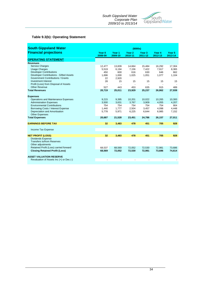

#### **Table 9.3(b): Operating Statement**

| <b>South Gippsland Water</b>                           | (\$000s)          |                   |                   |                              |                   |                              |  |  |  |
|--------------------------------------------------------|-------------------|-------------------|-------------------|------------------------------|-------------------|------------------------------|--|--|--|
| <b>Financial projections</b>                           | Year 0<br>2008-09 | Year 1<br>2009-10 | Year 2<br>2010-11 | Year <sub>3</sub><br>2011-12 | Year 4<br>2012-13 | Year <sub>5</sub><br>2013-14 |  |  |  |
| <b>OPERATING STATEMENT</b>                             |                   |                   |                   |                              |                   |                              |  |  |  |
| <b>Revenues</b>                                        |                   |                   |                   |                              |                   |                              |  |  |  |
| <b>Service Charges</b>                                 | 12,477            | 13,839            | 14,664            | 15,484                       | 16,292            | 17,304                       |  |  |  |
| <b>Usage Charges</b>                                   | 5,519             | 6,194             | 7,156             | 7,422                        | 7,917             | 8,365                        |  |  |  |
| <b>Developer Contributions</b>                         | 450               | 600               | 616               | 630                          | 646               | 662                          |  |  |  |
| Developer Contributions - Gifted Assets                | 1,696             | 1,000             | 1,025             | 1,051                        | 1,077             | 1,104                        |  |  |  |
| Government Contributions / Grants                      | 22                | 2,920             |                   |                              |                   |                              |  |  |  |
| <b>Investment Interest</b>                             | 28                | 15                | 15                | 15                           | 15                | 15                           |  |  |  |
| Profit (Loss) from Disposal of Assets                  |                   |                   |                   |                              |                   |                              |  |  |  |
| <b>Other Revenue</b>                                   | 527               | 443               | 453               | 635                          | 915               | 489                          |  |  |  |
| <b>Total Revenues</b>                                  | 20,719            | 25,011            | 23,929            | 25,237                       | 26,862            | 27,939                       |  |  |  |
|                                                        |                   |                   |                   |                              |                   |                              |  |  |  |
| <b>Expenses</b><br>Operations and Maintenance Expenses |                   |                   |                   |                              |                   | 10,300                       |  |  |  |
| <b>Administration Expenses</b>                         | 9,215<br>3,500    | 9,395<br>3,631    | 10,201<br>3,767   | 10,022<br>3,909              | 10,265<br>4,055   | 4,207                        |  |  |  |
| <b>Environmental Contributions</b>                     | 754               | 754               | 754               | 754                          | 754               | 904                          |  |  |  |
| Borrowing Costs / Interest Expense                     | 1,440             | 1,777             | 2,504             | 3,457                        | 4,098             | 4,448                        |  |  |  |
| Depreciation and Amortisation                          | 5,778             | 5,971             | 6,225             | 6,644                        | 6,985             | 7,152                        |  |  |  |
| <b>Other Expenses</b>                                  |                   |                   |                   |                              |                   |                              |  |  |  |
| <b>Total Expenses</b>                                  | 20,687            | 21,528            | 23,451            | 24,786                       | 26,157            | 27,011                       |  |  |  |
|                                                        |                   |                   |                   |                              |                   |                              |  |  |  |
| <b>EARNINGS BEFORE TAX</b>                             | 32                | 3,483             | 478               | 451                          | 705               | 928                          |  |  |  |
|                                                        |                   |                   |                   |                              |                   |                              |  |  |  |
| Income Tax Expense                                     |                   |                   |                   |                              |                   |                              |  |  |  |
|                                                        |                   |                   |                   |                              |                   |                              |  |  |  |
| <b>NET PROFIT (LOSS)</b>                               | 32                | 3,483             | 478               | 451                          | 705               | 928                          |  |  |  |
| <b>Dividends Expense</b>                               |                   |                   |                   |                              |                   |                              |  |  |  |
| <b>Transfers to/from Reserves</b>                      |                   |                   |                   |                              |                   |                              |  |  |  |
| Other adjustments                                      |                   |                   |                   |                              |                   |                              |  |  |  |
| Retained Profit (Loss) carried forward                 | 68,537            | 68,569            | 72,052            | 72,530                       | 72,981            | 73.686                       |  |  |  |
| <b>Closing Retained Profit (Loss)</b>                  | 68,569            | 72,052            | 72,530            | 72,981                       | 73,686            | 74,614                       |  |  |  |
|                                                        |                   |                   |                   |                              |                   |                              |  |  |  |
| <b>ASSET VALUATION RESERVE</b>                         |                   |                   |                   |                              |                   |                              |  |  |  |
| Revaluation of Assets Inc (+) or Dec (-)               |                   |                   |                   |                              |                   |                              |  |  |  |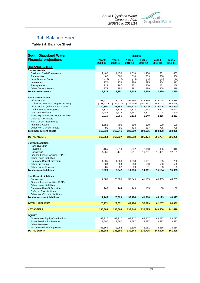

# 9.4 Balance Sheet

**Table 9.4: Balance Sheet**

| <b>South Gippsland Water</b>                                                 | (\$000s)                     |                              |                              |                              |                              |                   |  |  |  |
|------------------------------------------------------------------------------|------------------------------|------------------------------|------------------------------|------------------------------|------------------------------|-------------------|--|--|--|
| <b>Financial projections</b>                                                 | Year <sub>0</sub><br>2008-09 | Year <sub>1</sub><br>2009-10 | Year <sub>2</sub><br>2010-11 | Year <sub>3</sub><br>2011-12 | Year <sub>4</sub><br>2012-13 | Year 5<br>2013-14 |  |  |  |
| <b>BALANCE SHEET</b>                                                         |                              |                              |                              |                              |                              |                   |  |  |  |
| <b>Current Assets</b>                                                        |                              |                              |                              |                              |                              |                   |  |  |  |
| Cash and Cash Equivalents<br><b>Receivables</b>                              | 2,482<br>487                 | 1,456<br>500                 | 1,518<br>516                 | 1,456<br>533                 | 1,531<br>550                 | 1,455<br>566      |  |  |  |
| Less Doubtful Debts                                                          | (12)                         | (12)                         | (13)                         | (14)                         | (15)                         | (16)              |  |  |  |
| Inventories                                                                  | 270                          | 278                          | 286                          | 295                          | 304                          | 313               |  |  |  |
| Prepayments                                                                  | 223                          | 287                          | 351                          | 300                          | 251                          | 259               |  |  |  |
| <b>Other Current Assets</b>                                                  | 274                          | 282                          | 291                          | 299                          | 308                          | 318               |  |  |  |
| <b>Total current assets</b>                                                  | 3,724                        | 2,791                        | 2,949                        | 2,869                        | 2,929                        | 2,895             |  |  |  |
| <b>Non Current Assets</b>                                                    |                              |                              |                              |                              |                              |                   |  |  |  |
| Infrastructure                                                               | 263,270                      | 278,072                      | 295,750                      | 312,356                      | 325,028                      | 334,584           |  |  |  |
| less Accumulated Depreciation (-)                                            | (123, 970)                   | (129, 210)                   | (134, 636)                   | (140, 237)                   | (146, 022)                   | (152, 024)        |  |  |  |
| Infrastructure (written down value)                                          | 139,300                      | 148,862                      | 161,114                      | 172,119                      | 179,006                      | 182,560           |  |  |  |
| Capital Works in Progress                                                    | 7,377                        | 7,715                        | 9,872                        | 10,943                       | 9,693                        | 10,347            |  |  |  |
| <b>Land and Buildings</b>                                                    | 6,489                        | 6,518                        | 6,547                        | 6,827                        | 7,108                        | 7,390             |  |  |  |
| Plant, Equipment and Motor Vehicles                                          | 2,010                        | 2,056                        | 2,102                        | 2,149                        | 2,215                        | 2,262             |  |  |  |
| <b>Deferred Tax Assets</b>                                                   |                              |                              |                              |                              |                              |                   |  |  |  |
| Non Current Investments                                                      |                              |                              |                              |                              |                              |                   |  |  |  |
| <b>Intangible Assets</b><br><b>Other Non-Current Assets</b>                  | 1,559<br>95                  | 700<br>95                    | 500<br>434                   | 300<br>267                   | 100<br>706                   | 100<br>706        |  |  |  |
| <b>Total non-current assets</b>                                              | 156,830                      | 165,946                      | 180,569                      | 192,605                      | 198,828                      | 203,365           |  |  |  |
|                                                                              |                              |                              |                              |                              |                              |                   |  |  |  |
| <b>TOTAL ASSETS</b>                                                          | 160,554                      | 168,737                      | 183,518                      | 195,474                      | 201,757                      | 206,260           |  |  |  |
| <b>Current Liabilities</b>                                                   |                              |                              |                              |                              |                              |                   |  |  |  |
| <b>Bank Overdraft</b>                                                        |                              |                              |                              |                              |                              |                   |  |  |  |
| Payables                                                                     | 2,155                        | 2,218                        | 2,282                        | 2,348                        | 1,885                        | 1,919             |  |  |  |
| <b>Borrowings</b>                                                            | 4,251                        | 5,171                        | 8,011                        | 10,291                       | 11,491                       | 12,191            |  |  |  |
| Finance Lease Liabilities (PPP)                                              |                              |                              |                              |                              |                              |                   |  |  |  |
| <b>Other Lease Liabilities</b>                                               |                              |                              |                              |                              |                              |                   |  |  |  |
| <b>Employee Benefit Provision</b>                                            | 1,035                        | 1,066                        | 1,098                        | 1,131                        | 1,165                        | 1,200             |  |  |  |
| <b>Other Provisions</b>                                                      | 500                          | 500                          | 500                          | 500                          | 500                          | 500               |  |  |  |
| <b>Other Current Liabilities</b>                                             | 85                           | 87                           | 89                           | 91                           | 93                           | 95                |  |  |  |
| <b>Total current liabilities</b>                                             | 8,026                        | 9,042                        | 11,980                       | 14,361                       | 15,134                       | 15,905            |  |  |  |
| <b>Non Current Liabilities</b>                                               |                              |                              |                              |                              |                              |                   |  |  |  |
| <b>Borrowings</b>                                                            | 17,005                       | 20,685                       | 32,045                       | 41,165                       | 45,965                       | 48,765            |  |  |  |
| Finance Lease Liabilities (PPP)                                              |                              |                              |                              |                              |                              |                   |  |  |  |
| <b>Other Lease Liabilities</b>                                               |                              |                              |                              |                              |                              |                   |  |  |  |
| <b>Employee Benefit Provision</b>                                            | 140                          | 144                          | 149                          | 153                          | 158                          | 162               |  |  |  |
| <b>Deferred Tax Liabilities</b>                                              |                              |                              |                              |                              |                              |                   |  |  |  |
| <b>Other Non-Current Liabilities</b><br><b>Total non-current liabilities</b> | 17,145                       | 20,829                       | 32.194                       | 41,318                       | 46,123                       | 48,927            |  |  |  |
|                                                                              |                              |                              |                              |                              |                              |                   |  |  |  |
| <b>TOTAL LIABILITIES</b>                                                     | 25,171                       | 29,871                       | 44,174                       | 55,679                       | 61,257                       | 64,832            |  |  |  |
| <b>NET ASSETS</b>                                                            | 135,383                      | 138,866                      | 139,344                      | 139,795                      | 140,500                      | 141,428           |  |  |  |
| <b>EQUITY</b>                                                                |                              |                              |                              |                              |                              |                   |  |  |  |
| <b>Government Equity Contributions</b>                                       | 63,217                       | 63,217                       | 63,217                       | 63,217                       | 63,217                       | 63,217            |  |  |  |
| <b>Asset Revaluation Reserve</b>                                             | 3,597                        | 3,597                        | 3,597                        | 3,597                        | 3,597                        | 3,597             |  |  |  |
| <b>Other Reserves</b>                                                        |                              |                              |                              |                              |                              |                   |  |  |  |
| <b>Accumulated Funds (Losses)</b>                                            | 68,569                       | 72,052                       | 72,530                       | 72,981                       | 73,686                       | 74,614            |  |  |  |
| <b>TOTAL EQUITY</b>                                                          | 135,383                      | 138,866                      | 139,344                      | 139,795                      | 140,500                      | 141,428           |  |  |  |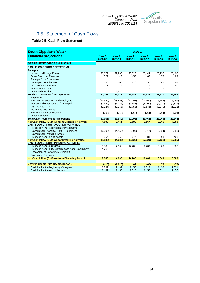

# 9.5 Statement of Cash Flows

#### **Table 9.5: Cash Flow Statement**

| <b>South Gippsland Water</b>                                   | $($ \$000s $)$               |                              |                              |                              |                   |                              |  |
|----------------------------------------------------------------|------------------------------|------------------------------|------------------------------|------------------------------|-------------------|------------------------------|--|
| <b>Financial projections</b>                                   | Year <sub>0</sub><br>2008-09 | Year <sub>1</sub><br>2009-10 | Year <sub>2</sub><br>2010-11 | Year <sub>3</sub><br>2011-12 | Year 4<br>2012-13 | Year <sub>5</sub><br>2013-14 |  |
| <b>STATEMENT OF CASH FLOWS</b>                                 |                              |                              |                              |                              |                   |                              |  |
| <b>CASH FLOWS FROM OPERATIONS</b>                              |                              |                              |                              |                              |                   |                              |  |
| <b>Receipts</b>                                                |                              |                              |                              |                              |                   |                              |  |
| Service and Usage Charges                                      | 20,677                       | 22,960                       | 25,323                       | 26,444                       | 26.957            | 28.407                       |  |
| <b>Other Customer Revenue</b>                                  | 527                          | 443                          | 453                          | 465                          | 476               | 489                          |  |
| <b>Receipts from Government</b>                                |                              |                              |                              |                              |                   |                              |  |
| <b>Developer Contributions</b>                                 | 450                          | 600                          | 616                          | 630                          | 646               | 662                          |  |
| <b>GST Refunds from ATO</b>                                    | 71                           | 73                           | 74                           | 75                           | 77                | 80                           |  |
| Investment Income                                              | 28                           | 15                           | 15                           | 15                           | 15                | 15                           |  |
| Other cash receipts                                            |                              | 2,920                        |                              |                              |                   |                              |  |
| <b>Total Cash Receipts from Operations</b>                     | 21,753                       | 27,011                       | 26,481                       | 27,629                       | 28,171            | 29,653                       |  |
| <b>Payments</b>                                                |                              |                              |                              |                              |                   |                              |  |
| Payments to suppliers and employees                            | (13,540)                     | (13, 853)                    | (14, 797)                    | (14,760)                     | (15, 152)         | (15, 491)                    |  |
| Interest and other costs of finance paid                       | (1,440)                      | (1,785)                      | (2,487)                      | (3,400)                      | (4,010)           | (4,327)                      |  |
| <b>GST Paid to ATO</b>                                         | (1,927)                      | (2, 158)                     | (2,758)                      | (2,548)                      | (2,049)           | (1,922)                      |  |
| <b>Income Tax Payments</b>                                     |                              |                              |                              |                              |                   |                              |  |
| <b>Environmental Contributions</b>                             | (754)                        | (754)                        | (754)                        | (754)                        | (754)             | (904)                        |  |
| <b>Other Payments</b>                                          |                              |                              |                              |                              |                   |                              |  |
| <b>Total Cash Payments for Operations</b>                      | (17,661)                     | (18, 550)                    | (20, 796)                    | (21, 462)                    | (21, 965)         | (22, 644)                    |  |
| Net Cash Inflow (Outflow) from Operating Activities:           | 4,092                        | 8,461                        | 5,685                        | 6,167                        | 6,206             | 7,009                        |  |
| <b>CASH FLOWS FROM INVESTING ACTIVITIES</b>                    |                              |                              |                              |                              |                   |                              |  |
| Proceeds from Redemption of Investments                        |                              |                              |                              |                              |                   |                              |  |
| Payments for Property, Plant & Equipment                       | (12, 202)                    | (14, 452)                    | (20, 197)                    | (18,012)                     | (12,524)          | (10,988)                     |  |
| Payments for Intangible Assets<br>Proceeds from Sale of Assets | 364                          | 365                          | 374                          | 383                          | 393               | 403                          |  |
| Net Cash Inflow (Outflow) for Investing Activities:            | (11, 838)                    | (14,087)                     | (19, 823)                    | (17, 629)                    | (12, 131)         | (10, 585)                    |  |
| <b>CASH FLOWS FROM FINANCING ACTIVITIES</b>                    |                              |                              |                              |                              |                   |                              |  |
| Proceeds from Borrowings                                       | 5,886                        | 4,600                        | 14,200                       | 11,400                       | 6,000             | 3,500                        |  |
| Proceeds from Equity Contributions from Government             | 1,450                        |                              |                              |                              |                   |                              |  |
| Repayment of Borrowing / Overdraft                             |                              |                              |                              |                              |                   |                              |  |
| <b>Payment of Dividends</b>                                    |                              |                              |                              |                              |                   |                              |  |
| <b>Net Cash Inflow (Outflow) from Financing Activities:</b>    | 7,336                        | 4,600                        | 14,200                       | 11,400                       | 6.000             | 3,500                        |  |
|                                                                |                              |                              |                              |                              |                   |                              |  |
| <b>NET INCREASE (DECREASE) IN CASH</b>                         | (410)                        | (1,026)                      | 62                           | (62)                         | 75                | (76)                         |  |
| Cash held at the beginning of the year                         | 2,892                        | 2,482                        | 1,456                        | 1,518                        | 1,456             | 1,531                        |  |
| Cash held at the end of the year                               | 2,482                        | 1,456                        | 1,518                        | 1,456                        | 1,531             | 1,455                        |  |
|                                                                |                              |                              |                              |                              |                   |                              |  |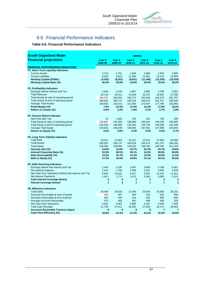

# 9.6 Financial Performance Indicators

#### **Table 9.6: Financial Performance Indicators**

| <b>South Gippsland Water</b>                         | (\$000s)                     |                   |                              |                              |                   |                              |  |  |
|------------------------------------------------------|------------------------------|-------------------|------------------------------|------------------------------|-------------------|------------------------------|--|--|
| <b>Financial projections</b>                         | Year <sub>0</sub><br>2008-09 | Year 1<br>2009-10 | Year <sub>2</sub><br>2010-11 | Year <sub>3</sub><br>2011-12 | Year 4<br>2012-13 | Year <sub>5</sub><br>2013-14 |  |  |
| <b>FINANCIAL PERFORMANCE INDICATORS</b>              |                              |                   |                              |                              |                   |                              |  |  |
| P1. Short Term Liquidity Indicators                  |                              |                   |                              |                              |                   |                              |  |  |
| <b>Current Assets</b>                                | 3,724                        | 2,791             | 2,949                        | 2,869                        | 2,929             | 2,895                        |  |  |
| <b>Current Liabilities</b>                           | 8,026                        | 9,042             | 11,980                       | 14,361                       | 15,134            | 15,905                       |  |  |
| <b>Working Capital (\$'000s)</b>                     | (4, 302)                     | (6, 251)          | (9,031)                      | (11, 492)                    | (12, 205)         | (13,010)                     |  |  |
| <b>Working Capital Ratio (%)</b>                     | 46.4%                        | 30.9%             | 24.6%                        | 20.0%                        | 19.4%             | 18.2%                        |  |  |
| <b>P2. Profitability Indicators</b>                  |                              |                   |                              |                              |                   |                              |  |  |
| Earnings Before Interest and Tax                     | 1.444                        | 5,245             | 2,967                        | 3,893                        | 4,788             | 5,361                        |  |  |
| <b>Total Revenue</b>                                 | 20,719                       | 25,011            | 23,929                       | 25,237                       | 26,862            | 27,939                       |  |  |
| Total Assets at start of reporting period            | 156,752                      | 160,554           | 168,737                      | 183,518                      | 195,474           | 201,757                      |  |  |
| Total Assets at end of reporting period              | 160,554                      | 168,737           | 183,518                      | 195,474                      | 201,757           | 206,260                      |  |  |
| <b>Average Total Assets</b>                          | 158,653                      | 162,014           | 167,390                      | 173,007                      | 177,799           | 181,865                      |  |  |
| Profit Margin (%)                                    | 7.0%                         | 21.0%             | 12.4%                        | 15.4%                        | 17.8%             | 19.2%                        |  |  |
| Return on Assets (%)                                 | 0.9%                         | 3.2%              | 1.8%                         | 2.3%                         | 2.7%              | 2.9%                         |  |  |
| P3. Owners Return Indicator                          |                              |                   |                              |                              |                   |                              |  |  |
| Net Profit after Tax                                 | 32                           | 3,483             | 478                          | 451                          | 705               | 928                          |  |  |
| Total Equity at start of reporting period            | 133,867                      | 135,383           | 138,866                      | 139,344                      | 139,795           | 140,500                      |  |  |
| Total Equity at end of reporting period              | 135,383                      | 138,866           | 139,344                      | 139,795                      | 140,500           | 141,428                      |  |  |
| <b>Average Total Equity</b>                          | 134,625                      | 136,039           | 136,865                      | 137,451                      | 137,959           | 138,455                      |  |  |
| Return on Equity (%)                                 | 0.0%                         | 2.6%              | 0.3%                         | 0.3%                         | 0.5%              | 0.7%                         |  |  |
| P4. Long Term Viability Indicators                   |                              |                   |                              |                              |                   |                              |  |  |
| <b>Total Debt</b>                                    | 23,411                       | 22,903            | 34,327                       | 43,513                       | 47,850            | 50,684                       |  |  |
| <b>Total Assets</b>                                  | 160,554                      | 168,737           | 183,518                      | 195,474                      | 201,757           | 206,260                      |  |  |
| <b>Total Equity</b>                                  | 135,383                      | 138,866           | 139,344                      | 139,795                      | 140,500           | 141,428                      |  |  |
| Gearing ratio (%)                                    | 14.6%                        | 13.6%             | 18.7%                        | 22.3%                        | 23.7%             | 24.6%                        |  |  |
| Internal Financing Ratio (%)                         | 33.5%                        | 58.5%             | 28.1%                        | 34.2%                        | 49.6%             | 63.8%                        |  |  |
| Debt Serviceability (%)                              | 19.3%                        | 32.7%             | 14.2%                        | 12.0%                        | 10.8%             | 11.5%                        |  |  |
| Debt to Equity (%)                                   | 17.3%                        | 16.5%             | 24.6%                        | 31.1%                        | 34.1%             | 35.8%                        |  |  |
| P5. Debt Servicing Indicators                        |                              |                   |                              |                              |                   |                              |  |  |
| Earnings Before Net Interest and Tax                 | 1,444                        | 5,245             | 2,967                        | 3,893                        | 4,788             | 5,361                        |  |  |
| Net Interest Expense                                 | 1,412                        | 1,762             | 2,489                        | 3,442                        | 4,083             | 4,433                        |  |  |
| Net Cash from Operations Before Net Interest and Tax | 5,504                        | 10,231            | 8,157                        | 9,552                        | 10,201            | 11,321                       |  |  |
| Net Interest Payments                                | 1,412                        | 1,770             | 2,472                        | 3,385                        | 3,995             | 4,312                        |  |  |
| <b>Cash Interest Coverage (times)</b>                | 4                            | 6                 | 3                            | 3                            | 3                 | 3                            |  |  |
| <b>Interest Coverage (times)</b>                     | $\overline{1}$               | 3                 | $\overline{1}$               | $\overline{1}$               | $\mathbf{1}$      | 1                            |  |  |
| <b>P6. Efficiency Indicators</b>                     |                              |                   |                              |                              |                   |                              |  |  |
| <b>Total Sales</b>                                   | 18,446                       | 20,633            | 22,436                       | 23,536                       | 24,855            | 26,331                       |  |  |
| Accounts Receivable at start of period               | 459                          | 487               | 500                          | 516                          | 533               | 550                          |  |  |
| Accounts Receivable at end of period                 | 487                          | 500               | 516                          | 533                          | 550               | 566                          |  |  |
| Average Accounts Receivable                          | 473                          | 482               | 491                          | 499                          | 508               | 516                          |  |  |
| Net Cash from operations                             | 4,092                        | 8,461             | 5,685                        | 6,167                        | 6,206             | 7,009                        |  |  |
| <b>Total Cash Receipts</b>                           | 21,753                       | 27,011            | 26,481                       | 27,629                       | 28,171            | 29,653                       |  |  |
| <b>Accounts Receivable Turnover (days)</b>           | 9                            | 9                 | 8                            | 8                            | $\overline{7}$    | $\overline{7}$               |  |  |
| Cash Flow Efficiency (%)                             | 18.8%                        | 31.3%             | 21.5%                        | 22.3%                        | 22.0%             | 23.6%                        |  |  |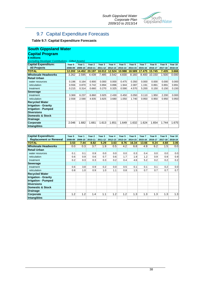

# 9.7 Capital Expenditure Forecasts

#### **Table 9.7: Capital Expenditure Forecasts**

#### **Capital Program South Gippsland Water**

**\$ millions**

*(excluding Developer Contributions - Gifted Assets)*

| <b>Capital Expenditure:</b> | Year 0  | Year 1  | Year 2  | Year 3  | Year 4  | Year 5  | Year <sub>6</sub> | Year 7  | Year 8  | Year 9  | Year 10 |
|-----------------------------|---------|---------|---------|---------|---------|---------|-------------------|---------|---------|---------|---------|
| <b>All Projects</b>         | 2008-09 | 2009-10 | 2010-11 | 2011-12 | 2012-13 | 2013-14 | 2014-15           | 2015-16 | 2016-17 | 2017-18 | 2018-19 |
| <b>TOTAL</b>                | 12.202  | 14.452  | 20.197  | 18.012  | 12.524  | 10.988  | 18.589            | 17.475  | 15.745  | 7.435   | 3.666   |
| <b>Wholesale Headworks</b>  | 3.262   | 2.595   | 4.439   | 7.485   | 3.542   | 4.830   | 8.160             | 8.400   | 10.150  | 1.500   | 0.000   |
| Retail Urban                |         |         |         |         |         |         |                   |         |         |         |         |
| water resources             | 0.196   | 0.164   | 0.900   | 0.000   | 0.000   | 0.475   | 0.350             | 0.000   | 0.000   | 0.000   | 0.000   |
| reticulation                | 0.556   | 0.870   | 0.742   | 0.894   | 0.896   | 1.944   | 2.087             | 1.191   | 0.891   | 0.891   | 0.891   |
| treatment                   | 0.215   | 0.314   | 0.660   | 0.270   | 0.325   | 0.590   | 4.570             | 5.200   | 0.150   | 0.150   | 0.150   |
| <b>Sewerage</b>             |         |         |         |         |         |         |                   |         |         |         |         |
| treatment                   | 3.369   | 6.237   | 6.860   | 3.925   | 2.430   | 0.450   | 0.050             | 0.110   | 1.950   | 2.200   | 0.000   |
| reticulation                | 2.558   | 2.590   | 4.935   | 3.825   | 3.680   | 1.050   | 1.740             | 0.950   | 0.950   | 0.950   | 0.950   |
| <b>Recycled Water</b>       |         |         |         |         |         |         |                   |         |         |         |         |
| <b>Irrigation - Gravity</b> |         |         |         |         |         |         |                   |         |         |         |         |
| <b>Irrigation - Pumped</b>  |         |         |         |         |         |         |                   |         |         |         |         |
| <b>Diversions</b>           |         |         |         |         |         |         |                   |         |         |         |         |
| Domestic & Stock            |         |         |         |         |         |         |                   |         |         |         |         |
| <b>Drainage</b>             |         |         |         |         |         |         |                   |         |         |         |         |
| <b>Corporate</b>            | 2.046   | 1.682   | 1.661   | 1.613   | 1.651   | 1.649   | 1.632             | 1.624   | 1.654   | 1.744   | 1.675   |
| Intangibles                 |         |         |         |         |         |         |                   |         |         |         |         |

| <b>Capital Expenditure:</b>   | Year 0  | Year 1  | Year <sub>2</sub> | Year 3  | Year 4  | Year 5  | Year <sub>6</sub> | Year 7  | Year <sub>8</sub> | Year 9  | Year 10 |
|-------------------------------|---------|---------|-------------------|---------|---------|---------|-------------------|---------|-------------------|---------|---------|
| <b>Replacement or Renewal</b> | 2008-09 | 2009-10 | 2010-11           | 2011-12 | 2012-13 | 2013-14 | 2014-15           | 2015-16 | 2016-17           | 2017-18 | 2018-19 |
| <b>TOTAL</b>                  | 3.53    | 7.44    | 8.82              | 5.29    | 3.63    | 8.76    | 16.34             | 13.66   | 9.24              | 4.68    | 3.06    |
| <b>Wholesale Headworks</b>    | 0.0     | 0.3     | 3.7               | 1.9     | 0.5     | 4.2     | 6.8               | 4.9     | 6.2               | 1.5     | 0.0     |
| <b>Retail Urban</b>           |         |         |                   |         |         |         |                   |         |                   |         |         |
| water resources               | 0.1     | 0.1     | 0.9               | 0.0     | 0.0     | 0.0     | 0.3               | 0.4     | 0.0               | 0.0     | 0.0     |
| reticulation                  | 0.6     | 0.9     | 0.6               | 0.7     | 0.6     | 1.7     | 1.9               | 1.2     | 0.9               | 0.9     | 0.9     |
| treatment                     | 0.2     | 0.3     | 0.3               | 0.3     | 0.2     | 0.4     | 4.6               | 5.2     | 0.2               | 0.2     | 0.2     |
| <b>Sewerage</b>               |         |         |                   |         |         |         |                   |         |                   |         |         |
| treatment                     | 0.6     | 3.8     | 0.9               | 0.2     | 0.0     | 0.5     | 0.1               | 0.1     | 0.1               | 0.2     | 0.0     |
| reticulation                  | 0.8     | 1.0     | 0.9               | 1.0     | 1.1     | 0.8     | 1.5               | 0.7     | 0.7               | 0.7     | 0.7     |
| <b>Recycled Water</b>         |         |         |                   |         |         |         |                   |         |                   |         |         |
| <b>Irrigation - Gravity</b>   |         |         |                   |         |         |         |                   |         |                   |         |         |
| <b>Irrigation - Pumped</b>    |         |         |                   |         |         |         |                   |         |                   |         |         |
| <b>Diversions</b>             |         |         |                   |         |         |         |                   |         |                   |         |         |
| <b>Domestic &amp; Stock</b>   |         |         |                   |         |         |         |                   |         |                   |         |         |
| <b>Drainage</b>               |         |         |                   |         |         |         |                   |         |                   |         |         |
| Corporate                     | 1.2     | 1.2     | 1.4               | 1.1     | 1.2     | 1.2     | 1.3               | 1.3     | 1.3               | 1.3     | 1.3     |
| <b>Intangibles</b>            |         |         |                   |         |         |         |                   |         |                   |         |         |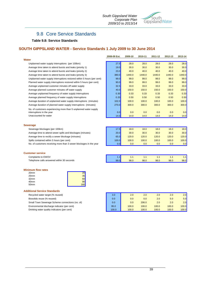

## 9.8 Core Service Standards

#### **Table 9.8: Service Standards**

#### **SOUTH GIPPSLAND WATER - Service Standards 1 July 2009 to 30 June 2014**

| .,<br>۰.<br>_____ |
|-------------------|
|-------------------|

Average unplanned frequency of water supply interruptions Average planned frequency of water supply interruptions Average duration of unplanned water supply interruptions (minutes) Unplanned water supply interruptions (per 100km) Average time taken to attend bursts and leaks (priority 1) Average time taken to attend bursts and leaks (priority 2) Average time taken to attend bursts and leaks (priority 3) Unplanned water supply interruptions restored within 5 hours (per cent) Planned water supply interruptions restored within 5 hours (per cent) Average unplanned customer minutes off water supply Average planned customer minutes off water supply Average duration of planned water supply interruptions (minutes) No. of customers experiencing more than 5 unplanned water supply interruptions in the year Unaccounted for water

| 2008-09 Est. | 2009-10 | 2010-11 | 2011-12 | 2012-13 | 2013-14 |
|--------------|---------|---------|---------|---------|---------|
|              |         |         |         |         |         |
| 27.5         | 28.0    | 28.0    | 28.0    | 28.0    | 28.0    |
| 19.0         | 30.0    | 30.0    | 30.0    | 30.0    | 30.0    |
| 23.0         | 40.0    | 40.0    | 40.0    | 40.0    | 40.0    |
| 380.0        | 1440.0  | 1440.0  | 1440.0  | 1440.0  | 1440.0  |
| 99.0         | 99.0    | 99.0    | 99.0    | 99.0    | 99.0    |
| 90.0         | 99.0    | 99.0    | 99.0    | 99.0    | 99.0    |
| 32.5         | 33.0    | 33.0    | 33.0    | 33.0    | 33.0    |
| 40.0         | 150.0   | 150.0   | 150.0   | 150.0   | 150.0   |
| 0.30         | 0.33    | 0.33    | 0.33    | 0.33    | 0.33    |
| 0.20         | 0.50    | 0.50    | 0.50    | 0.50    | 0.50    |
| 102.0        | 100.0   | 100.0   | 100.0   | 100.0   | 100.0   |
| <b>270.0</b> | 300.0   | 300.0   | 300.0   | 300.0   | 300.0   |
|              |         |         |         |         |         |
| 0.0          | 0.0     | 0.0     | 0.0     | 0.0     | 0.0     |
| 14.0         | 14.0    | 14.0    | 14.0    | 14.0    | 14.0    |

#### **Sewerage** 17.5 18.0 18.0 18.0 18.0 18.0 20.0 30.0 30.0 30.0 30.0 30.0 65.0 120.0 120.0 120.0 120.0 120.0 100.0 100.0 100.0 100.0 100.0 100.0 0.0 0.0 0.0 0.0 0.0 0.0 Average time to attend sewer spills and blockages (minutes) No. of customers receiving more than 3 sewer blockages in the year Sewerage blockages (per 100km) Average time to rectify a sewer blockage (minutes) Spills contained within 5 hours (per cent)

#### **Customer service**

Complaints to EWOV Telephone calls answered within 30 seconds

#### **Minimum flow rates**

| 20 <sub>mm</sub> |            |
|------------------|------------|
| 25mm             | 35         |
| 32 <sub>mm</sub> |            |
| 40mm             |            |
| 50 <sub>mm</sub> | <b>160</b> |

#### **Additional Service Standards**

Recycled water target (% reused)

Biosolids reuse (% reused)

Small Town Sewerage Scheme connections (no. of)

Environmental discharge indicator (per cent)

Drinking water quality indicators (per cent)

| 3.0   | 2.0   | 2.0   | 2.0   | 2.0   | 2.0   |
|-------|-------|-------|-------|-------|-------|
| 0.0   | 0.0   | 0.0   | 2.0   | 5.0   | 5.0   |
| 0.0   | 0.0   | 206.0 | 2.0   | 2.0   | 2.0   |
| 95.0  | 100.0 | 100.0 | 100.0 | 100.0 | 100.0 |
| 100.0 | 100.0 | 100.0 | 100.0 | 100.0 | 100.0 |

1.1 1.1 1.1 1.1 1.1 1.1 99.0 98.0 98.0 98.0 98.0 98.0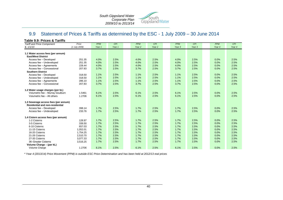

# 9.9 Statement of Prices & Tariffs as determined by the ESC - 1 July 2009 – 30 June 2014

| Table 9.9: Prices & Tariffs            |               |            |        |                   |                   |            |            |            |            |
|----------------------------------------|---------------|------------|--------|-------------------|-------------------|------------|------------|------------|------------|
| <b>Tariff and Price Component</b>      | Price         | <b>PPM</b> | CPI    | <b>PPM</b>        | <b>CPI</b>        | <b>PPM</b> | <b>CPI</b> | <b>PPM</b> | <b>CPI</b> |
| \$, 1/1/10                             | (1 July 2009) | Year 1     | Year 1 | Year <sub>2</sub> | Year <sub>2</sub> | Year 3     | Year 3     | Year 4     | Year 4     |
|                                        |               |            |        |                   |                   |            |            |            |            |
| 1.1 Water access fees (per annum)      |               |            |        |                   |                   |            |            |            |            |
| <b>East/West District</b>              |               |            |        |                   |                   |            |            |            |            |
| Access fee - Developed                 | 251.35        | 4.0%       | 2.5%   | 4.0%              | 2.5%              | 4.0%       | 2.5%       | 0.0%       | 2.5%       |
| Access fee - Undeveloped               | 251.35        | 4.0%       | 2.5%   | 4.0%              | 2.5%              | 4.0%       | 2.5%       | 0.0%       | 2.5%       |
| Access fee - Agreements                | 228.44        | 4.0%       | 2.5%   | 4.0%              | 2.5%              | 4.0%       | 2.5%       | 0.0%       | 2.5%       |
| Access fee - Concessional              | 207.83        | 3.7%       | 2.5%   | 3.7%              | 2.5%              | 3.7%       | 2.5%       | 0.0%       | 2.5%       |
| <b>Southern District</b>               |               |            |        |                   |                   |            |            |            |            |
| Access fee - Developed                 | 318.50        | 1.1%       | 2.5%   | 1.1%              | 2.5%              | 1.1%       | 2.5%       | 0.0%       | 2.5%       |
| Access fee - Undeveloped               | 318.50        | 1.1%       | 2.5%   | 1.1%              | 2.5%              | 1.1%       | 2.5%       | 0.0%       | 2.5%       |
| Access fee - Agreements                | 286.10        | 1.1%       | 2.5%   | 1.1%              | 2.5%              | 1.1%       | 2.5%       | 0.0%       | 2.5%       |
| Access fee - Concessional              | 207.83        | 3.7%       | 2.5%   | 3.7%              | 2.5%              | 3.7%       | 2.5%       | 0.0%       | 2.5%       |
| 1.2 Water usage charges (per kL)       |               |            |        |                   |                   |            |            |            |            |
| Volumetric fee - Murray Goulburn       | 1.5461        | 6.1%       | 2.5%   | 6.1%              | 2.5%              | 6.1%       | 2.5%       | 0.0%       | 2.5%       |
| Volumetric fee - All others            | 1.2706        | 6.1%       | 2.5%   | 6.1%              | 2.5%              | 6.1%       | 2.5%       | 0.0%       | 2.5%       |
| 1.3 Sewerage access fees (per annum)   |               |            |        |                   |                   |            |            |            |            |
| <b>Residential and non-residential</b> |               |            |        |                   |                   |            |            |            |            |
| Access fee - Developed                 | 398.14        | 1.7%       | 2.5%   | 1.7%              | 2.5%              | 1.7%       | 2.5%       | 0.0%       | 2.5%       |
| Access fee - Undeveloped               | 233.76        | 1.7%       | 2.5%   | 1.7%              | 2.5%              | 1.7%       | 2.5%       | 0.0%       | 2.5%       |
| 1.4 Cistern access fees (per annum)    |               |            |        |                   |                   |            |            |            |            |
| 1-2 Cisterns                           | 128.97        | 1.7%       | 2.5%   | 1.7%              | 2.5%              | 1.7%       | 2.5%       | 0.0%       | 2.5%       |
| 3-5 Cisterns                           | 339.50        | 1.7%       | 2.5%   | 1.7%              | 2.5%              | 1.7%       | 2.5%       | 0.0%       | 2.5%       |
| 6-10 Cisterns                          | 657.03        | 1.7%       | 2.5%   | 1.7%              | 2.5%              | 1.7%       | 2.5%       | 0.0%       | 2.5%       |
| 11-15 Cisterns                         | 1,052.01      | 1.7%       | 2.5%   | 1.7%              | 2.5%              | 1.7%       | 2.5%       | 0.0%       | 2.5%       |
| 16-20 Cisterns                         | 1,754.25      | 1.7%       | 2.5%   | 1.7%              | 2.5%              | 1.7%       | 2.5%       | 0.0%       | 2.5%       |
| 21-26 Cisterns                         | 2,510.70      | 1.7%       | 2.5%   | 1.7%              | 2.5%              | 1.7%       | 2.5%       | 0.0%       | 2.5%       |
| 27-35 Cisterns                         | 3,077.33      | 1.7%       | 2.5%   | 1.7%              | 2.5%              | 1.7%       | 2.5%       | 0.0%       | 2.5%       |
| 36-Greater Cisterns                    | 3,516.25      | 1.7%       | 2.5%   | 1.7%              | 2.5%              | 1.7%       | 2.5%       | 0.0%       | 2.5%       |
| Volume Charge - (per kL)               |               |            |        |                   |                   |            |            |            |            |
| Volume Charge                          | 1.2706        | 6.1%       | 2.5%   | 6.1%              | 2.5%              | 6.1%       | 2.5%       | 0.0%       | 2.5%       |

*\* Year 4 (2013/14) Price Movement (PPM) is outside ESC Price Determination and has been held at 2012/13 real prices*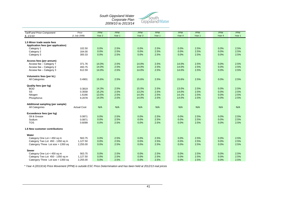

| <b>Tariff and Price Component</b>   | Price              | <b>PPM</b>        | <b>PPM</b> | <b>PPM</b> | <b>PPM</b> | <b>PPM</b> | <b>PPM</b> | <b>PPM</b> | <b>PPM</b> |
|-------------------------------------|--------------------|-------------------|------------|------------|------------|------------|------------|------------|------------|
| \$, 1/1/10                          | (1 July 2008)      | Year <sub>2</sub> | Year 1     | Year 3     | Year 1     | Year 4     | Year 1     | Year 4     | Year 1     |
|                                     |                    |                   |            |            |            |            |            |            |            |
| 1.5 Minor trade waste fees          |                    |                   |            |            |            |            |            |            |            |
| Application fees (per application)  |                    |                   |            |            |            |            |            |            |            |
| Category 1                          | 102.50             | 0.0%              | 2.5%       | 0.0%       | 2.5%       | 0.0%       | 2.5%       | 0.0%       | 2.5%       |
| Category 2                          | 164.00             | 0.0%              | 2.5%       | 0.0%       | 2.5%       | 0.0%       | 2.5%       | 0.0%       | 2.5%       |
| Category 3                          | 300.33             | 0.0%              | 2.5%       | 0.0%       | 2.5%       | 0.0%       | 2.5%       | 0.0%       | 2.5%       |
|                                     |                    |                   |            |            |            |            |            |            |            |
| Access fees (per annum)             |                    |                   |            |            |            |            |            |            |            |
| Access fee - Category 1             | 371.76             | 14.0%             | 2.5%       | 14.0%      | 2.5%       | 14.0%      | 2.5%       | 0.0%       | 2.5%       |
| Access fee - Category 2             | 493.75             | 14.0%             | 2.5%       | 14.0%      | 2.5%       | 14.0%      | 2.5%       | 0.0%       | 2.5%       |
| Access fee - Category 3             | 612.59             | 14.0%             | 2.5%       | 14.0%      | 2.5%       | 14.0%      | 2.5%       | 0.0%       | 2.5%       |
|                                     |                    |                   |            |            |            |            |            |            |            |
| Volumetric fees (per kL)            |                    |                   |            |            |            |            |            |            |            |
| All Categories                      | 0.4901             | 15.6%             | 2.5%       | 15.6%      | 2.5%       | 15.6%      | 2.5%       | 0.0%       | 2.5%       |
|                                     |                    |                   |            |            |            |            |            |            |            |
|                                     |                    |                   |            |            |            |            |            |            |            |
| Quality fees (per kg)<br><b>BOD</b> | 0.3819             | 14.3%             | 2.5%       | 15.0%      | 2.5%       | 13.0%      | 2.5%       | 0.0%       | 2.5%       |
| SS                                  | 0.3558             | 15.2%             | 2.5%       | 13.2%      | 2.5%       | 14.0%      | 2.5%       | 0.0%       | 2.5%       |
|                                     |                    |                   |            |            |            |            |            |            |            |
| Nitogen                             | 1.6166             | 13.5%             | 2.5%       | 14.3%      | 2.5%       | 14.1%      | 2.5%       | 0.0%       | 2.5%       |
| Phosphorus                          | 9.2078             | 14.0%             | 2.5%       | 14.0%      | 2.5%       | 14.0%      | 2.5%       | 0.0%       | 2.5%       |
|                                     |                    |                   |            |            |            |            |            |            |            |
| Additional sampling (per sample)    |                    |                   |            |            |            |            |            |            |            |
| All Categories                      | <b>Actual Cost</b> | N/A               | N/A        | N/A        | N/A        | N/A        | N/A        | N/A        | N/A        |
|                                     |                    |                   |            |            |            |            |            |            |            |
| Exceedence fees (per kg)            |                    |                   |            |            |            |            |            |            |            |
| Oil & Grease                        | 0.0871             | 0.0%              | 2.5%       | 0.0%       | 2.5%       | 0.0%       | 2.5%       | 0.0%       | 2.5%       |
| Sodium                              | 0.0871             | 0.0%              | 2.5%       | 0.0%       | 2.5%       | 0.0%       | 2.5%       | 0.0%       | 2.5%       |
| <b>TOS</b>                          | 0.6099             | 0.0%              | 2.5%       | 0.0%       | 2.5%       | 0.0%       | 2.5%       | 0.0%       | 2.5%       |
|                                     |                    |                   |            |            |            |            |            |            |            |
| 1.6 New customer contributions      |                    |                   |            |            |            |            |            |            |            |
|                                     |                    |                   |            |            |            |            |            |            |            |
| Water                               |                    |                   |            |            |            |            |            |            |            |
| Category One Lot < 450 sq m         | 563.75             | 0.0%              | 2.5%       | 0.0%       | 2.5%       | 0.0%       | 2.5%       | 0.0%       | 2.5%       |
| Category Two Lot 450 - 1350 sq m    | 1,127.50           | 0.0%              | 2.5%       | 0.0%       | 2.5%       | 0.0%       | 2.5%       | 0.0%       | 2.5%       |
| Catergory Three Lot size > 1350 sq  | 2,255.00           | 0.0%              | 2.5%       | 0.0%       | 2.5%       | 0.0%       | 2.5%       | 0.0%       | 2.5%       |
|                                     |                    |                   |            |            |            |            |            |            |            |
| <b>Sewer</b>                        |                    |                   |            |            |            |            |            |            |            |
| Category One Lot < 450 sq m         | 563.75             | 0.0%              | 2.5%       | 0.0%       | 2.5%       | 0.0%       | 2.5%       | 0.0%       | 2.5%       |
| Category Two Lot 450 - 1350 sq m    | 1,127.50           | 0.0%              | 2.5%       | 0.0%       | 2.5%       | 0.0%       | 2.5%       | 0.0%       | 2.5%       |
| Catergory Three Lot size > 1350 sq  | 2,255.00           | 0.0%              | 2.5%       | 0.0%       | 2.5%       | 0.0%       | 2.5%       | 0.0%       | 2.5%       |

*\* Year 4 (2013/14) Price Movement (PPM) is outside ESC Price Determination and has been held at 2012/13 real prices*